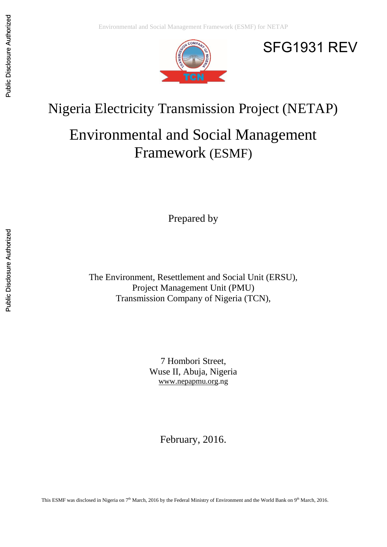

# SFG1931 REV

# Nigeria Electricity Transmission Project (NETAP)

# Environmental and Social Management Framework (ESMF)

Prepared by

The Environment, Resettlement and Social Unit (ERSU), Project Management Unit (PMU) Transmission Company of Nigeria (TCN),

> 7 Hombori Street, Wuse II, Abuja, Nigeria [www.nepapmu.org.](http://www.nepapmu.org/)ng

> > February, 2016.

This ESMF was disclosed in Nigeria on 7<sup>th</sup> March, 2016 by the Federal Ministry of Environment and the World Bank on 9<sup>th</sup> March, 2016.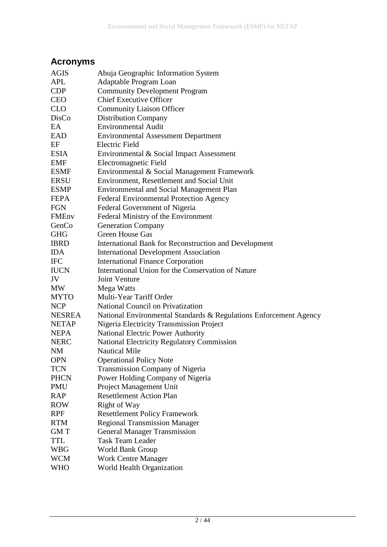### <span id="page-1-0"></span>**Acronyms**

| <b>AGIS</b>  | Abuja Geographic Information System                               |
|--------------|-------------------------------------------------------------------|
| APL          | Adaptable Program Loan                                            |
| <b>CDP</b>   | <b>Community Development Program</b>                              |
| <b>CEO</b>   | <b>Chief Executive Officer</b>                                    |
| <b>CLO</b>   | <b>Community Liaison Officer</b>                                  |
| DisCo        | <b>Distribution Company</b>                                       |
| EA           | <b>Environmental Audit</b>                                        |
| EAD          | <b>Environmental Assessment Department</b>                        |
| EF           | <b>Electric Field</b>                                             |
| <b>ESIA</b>  | Environmental & Social Impact Assessment                          |
| EMF          | Electromagnetic Field                                             |
| <b>ESMF</b>  | Environmental & Social Management Framework                       |
| <b>ERSU</b>  | Environment, Resettlement and Social Unit                         |
| <b>ESMP</b>  | <b>Environmental and Social Management Plan</b>                   |
| <b>FEPA</b>  | <b>Federal Environmental Protection Agency</b>                    |
| <b>FGN</b>   | Federal Government of Nigeria                                     |
| <b>FMEnv</b> | Federal Ministry of the Environment                               |
| GenCo        | <b>Generation Company</b>                                         |
| <b>GHG</b>   | <b>Green House Gas</b>                                            |
| <b>IBRD</b>  | <b>International Bank for Reconstruction and Development</b>      |
| <b>IDA</b>   | <b>International Development Association</b>                      |
| <b>IFC</b>   | <b>International Finance Corporation</b>                          |
| <b>IUCN</b>  | International Union for the Conservation of Nature                |
| JV           | Joint Venture                                                     |
| <b>MW</b>    | Mega Watts                                                        |
| <b>MYTO</b>  | Multi-Year Tariff Order                                           |
| <b>NCP</b>   | National Council on Privatization                                 |
| NESREA       | National Environmental Standards & Regulations Enforcement Agency |
| <b>NETAP</b> | Nigeria Electricity Transmission Project                          |
| <b>NEPA</b>  | <b>National Electric Power Authority</b>                          |
| <b>NERC</b>  | <b>National Electricity Regulatory Commission</b>                 |
| <b>NM</b>    | <b>Nautical Mile</b>                                              |
| <b>OPN</b>   | <b>Operational Policy Note</b>                                    |
| <b>TCN</b>   | <b>Transmission Company of Nigeria</b>                            |
| <b>PHCN</b>  | Power Holding Company of Nigeria                                  |
| <b>PMU</b>   | <b>Project Management Unit</b>                                    |
| <b>RAP</b>   | <b>Resettlement Action Plan</b>                                   |
| <b>ROW</b>   | Right of Way                                                      |
| <b>RPF</b>   | <b>Resettlement Policy Framework</b>                              |
| <b>RTM</b>   | <b>Regional Transmission Manager</b>                              |
| <b>GMT</b>   | <b>General Manager Transmission</b>                               |
| <b>TTL</b>   | <b>Task Team Leader</b>                                           |
| <b>WBG</b>   | World Bank Group                                                  |
| <b>WCM</b>   | <b>Work Centre Manager</b>                                        |
| <b>WHO</b>   | World Health Organization                                         |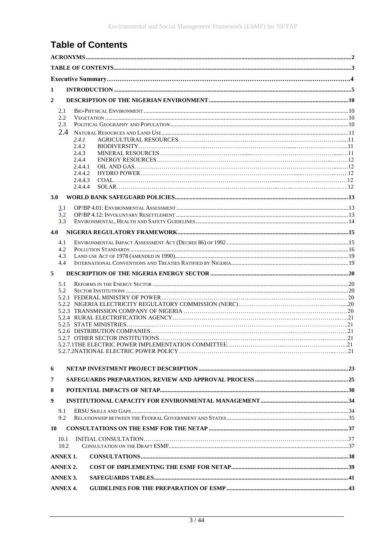## <span id="page-2-0"></span>**Table of Contents**

| 1<br>$\overline{2}$<br>2.1<br>2.2<br>2.3<br>2.4<br>2.4.1<br>2.4.2<br>2.4.3<br>2.4.4<br>2.4.4.1<br>2.4.4.2<br>2.4.4.3<br>2.4.4.4<br><b>3.0</b><br>3.1<br>3.2<br>3.3<br>4.0<br>4.1<br>4.2<br>4.3<br>4.4<br>5<br>5.1<br>5.2<br>6<br>7<br>8<br>9<br>9.1<br>9.2 |  |  |  |  |  |  |  |
|------------------------------------------------------------------------------------------------------------------------------------------------------------------------------------------------------------------------------------------------------------|--|--|--|--|--|--|--|
|                                                                                                                                                                                                                                                            |  |  |  |  |  |  |  |
|                                                                                                                                                                                                                                                            |  |  |  |  |  |  |  |
|                                                                                                                                                                                                                                                            |  |  |  |  |  |  |  |
|                                                                                                                                                                                                                                                            |  |  |  |  |  |  |  |
|                                                                                                                                                                                                                                                            |  |  |  |  |  |  |  |
|                                                                                                                                                                                                                                                            |  |  |  |  |  |  |  |
|                                                                                                                                                                                                                                                            |  |  |  |  |  |  |  |
|                                                                                                                                                                                                                                                            |  |  |  |  |  |  |  |
|                                                                                                                                                                                                                                                            |  |  |  |  |  |  |  |
|                                                                                                                                                                                                                                                            |  |  |  |  |  |  |  |
|                                                                                                                                                                                                                                                            |  |  |  |  |  |  |  |
|                                                                                                                                                                                                                                                            |  |  |  |  |  |  |  |
|                                                                                                                                                                                                                                                            |  |  |  |  |  |  |  |
|                                                                                                                                                                                                                                                            |  |  |  |  |  |  |  |
|                                                                                                                                                                                                                                                            |  |  |  |  |  |  |  |
|                                                                                                                                                                                                                                                            |  |  |  |  |  |  |  |
|                                                                                                                                                                                                                                                            |  |  |  |  |  |  |  |
|                                                                                                                                                                                                                                                            |  |  |  |  |  |  |  |
|                                                                                                                                                                                                                                                            |  |  |  |  |  |  |  |
|                                                                                                                                                                                                                                                            |  |  |  |  |  |  |  |
|                                                                                                                                                                                                                                                            |  |  |  |  |  |  |  |
|                                                                                                                                                                                                                                                            |  |  |  |  |  |  |  |
|                                                                                                                                                                                                                                                            |  |  |  |  |  |  |  |
|                                                                                                                                                                                                                                                            |  |  |  |  |  |  |  |
|                                                                                                                                                                                                                                                            |  |  |  |  |  |  |  |
|                                                                                                                                                                                                                                                            |  |  |  |  |  |  |  |
|                                                                                                                                                                                                                                                            |  |  |  |  |  |  |  |
|                                                                                                                                                                                                                                                            |  |  |  |  |  |  |  |
|                                                                                                                                                                                                                                                            |  |  |  |  |  |  |  |
|                                                                                                                                                                                                                                                            |  |  |  |  |  |  |  |
|                                                                                                                                                                                                                                                            |  |  |  |  |  |  |  |
|                                                                                                                                                                                                                                                            |  |  |  |  |  |  |  |
|                                                                                                                                                                                                                                                            |  |  |  |  |  |  |  |
|                                                                                                                                                                                                                                                            |  |  |  |  |  |  |  |
|                                                                                                                                                                                                                                                            |  |  |  |  |  |  |  |
|                                                                                                                                                                                                                                                            |  |  |  |  |  |  |  |
|                                                                                                                                                                                                                                                            |  |  |  |  |  |  |  |
| 10                                                                                                                                                                                                                                                         |  |  |  |  |  |  |  |
| 10.1                                                                                                                                                                                                                                                       |  |  |  |  |  |  |  |
| 10.2                                                                                                                                                                                                                                                       |  |  |  |  |  |  |  |
| <b>ANNEX 1.</b>                                                                                                                                                                                                                                            |  |  |  |  |  |  |  |
| <b>ANNEX 2.</b>                                                                                                                                                                                                                                            |  |  |  |  |  |  |  |
| <b>ANNEX 3.</b>                                                                                                                                                                                                                                            |  |  |  |  |  |  |  |
| <b>ANNEX 4.</b>                                                                                                                                                                                                                                            |  |  |  |  |  |  |  |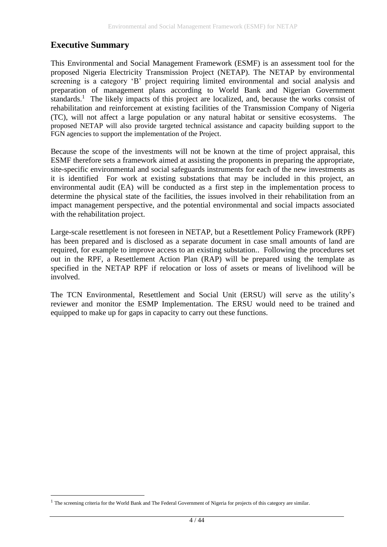### **Executive Summary**

1

This Environmental and Social Management Framework (ESMF) is an assessment tool for the proposed Nigeria Electricity Transmission Project (NETAP). The NETAP by environmental screening is a category 'B' project requiring limited environmental and social analysis and preparation of management plans according to World Bank and Nigerian Government standards.<sup>1</sup> The likely impacts of this project are localized, and, because the works consist of rehabilitation and reinforcement at existing facilities of the Transmission Company of Nigeria (TC), will not affect a large population or any natural habitat or sensitive ecosystems. The proposed NETAP will also provide targeted technical assistance and capacity building support to the FGN agencies to support the implementation of the Project.

Because the scope of the investments will not be known at the time of project appraisal, this ESMF therefore sets a framework aimed at assisting the proponents in preparing the appropriate, site-specific environmental and social safeguards instruments for each of the new investments as it is identified For work at existing substations that may be included in this project, an environmental audit (EA) will be conducted as a first step in the implementation process to determine the physical state of the facilities, the issues involved in their rehabilitation from an impact management perspective, and the potential environmental and social impacts associated with the rehabilitation project.

Large-scale resettlement is not foreseen in NETAP, but a Resettlement Policy Framework (RPF) has been prepared and is disclosed as a separate document in case small amounts of land are required, for example to improve access to an existing substation.. Following the procedures set out in the RPF, a Resettlement Action Plan (RAP) will be prepared using the template as specified in the NETAP RPF if relocation or loss of assets or means of livelihood will be involved.

The TCN Environmental, Resettlement and Social Unit (ERSU) will serve as the utility's reviewer and monitor the ESMP Implementation. The ERSU would need to be trained and equipped to make up for gaps in capacity to carry out these functions.

<sup>&</sup>lt;sup>1</sup> The screening criteria for the World Bank and The Federal Government of Nigeria for projects of this category are similar.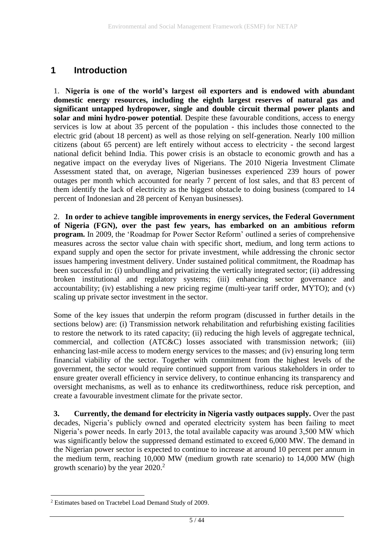### <span id="page-4-0"></span>**1 Introduction**

1. **Nigeria is one of the world's largest oil exporters and is endowed with abundant domestic energy resources, including the eighth largest reserves of natural gas and significant untapped hydropower, single and double circuit thermal power plants and solar and mini hydro-power potential**. Despite these favourable conditions, access to energy services is low at about 35 percent of the population - this includes those connected to the electric grid (about 18 percent) as well as those relying on self-generation. Nearly 100 million citizens (about 65 percent) are left entirely without access to electricity - the second largest national deficit behind India. This power crisis is an obstacle to economic growth and has a negative impact on the everyday lives of Nigerians. The 2010 Nigeria Investment Climate Assessment stated that, on average, Nigerian businesses experienced 239 hours of power outages per month which accounted for nearly 7 percent of lost sales, and that 83 percent of them identify the lack of electricity as the biggest obstacle to doing business (compared to 14 percent of Indonesian and 28 percent of Kenyan businesses).

2. **In order to achieve tangible improvements in energy services, the Federal Government of Nigeria (FGN), over the past few years, has embarked on an ambitious reform program.** In 2009, the 'Roadmap for Power Sector Reform' outlined a series of comprehensive measures across the sector value chain with specific short, medium, and long term actions to expand supply and open the sector for private investment, while addressing the chronic sector issues hampering investment delivery. Under sustained political commitment, the Roadmap has been successful in: (i) unbundling and privatizing the vertically integrated sector; (ii) addressing broken institutional and regulatory systems; (iii) enhancing sector governance and accountability; (iv) establishing a new pricing regime (multi-year tariff order, MYTO); and (v) scaling up private sector investment in the sector.

Some of the key issues that underpin the reform program (discussed in further details in the sections below) are: (i) Transmission network rehabilitation and refurbishing existing facilities to restore the network to its rated capacity; (ii) reducing the high levels of aggregate technical, commercial, and collection (ATC&C) losses associated with transmission network; (iii) enhancing last-mile access to modern energy services to the masses; and (iv) ensuring long term financial viability of the sector. Together with commitment from the highest levels of the government, the sector would require continued support from various stakeholders in order to ensure greater overall efficiency in service delivery, to continue enhancing its transparency and oversight mechanisms, as well as to enhance its creditworthiness, reduce risk perception, and create a favourable investment climate for the private sector.

**3. Currently, the demand for electricity in Nigeria vastly outpaces supply.** Over the past decades, Nigeria's publicly owned and operated electricity system has been failing to meet Nigeria's power needs. In early 2013, the total available capacity was around 3,500 MW which was significantly below the suppressed demand estimated to exceed 6,000 MW. The demand in the Nigerian power sector is expected to continue to increase at around 10 percent per annum in the medium term, reaching 10,000 MW (medium growth rate scenario) to 14,000 MW (high growth scenario) by the year  $2020$ <sup>2</sup>

1

<sup>2</sup> Estimates based on Tractebel Load Demand Study of 2009.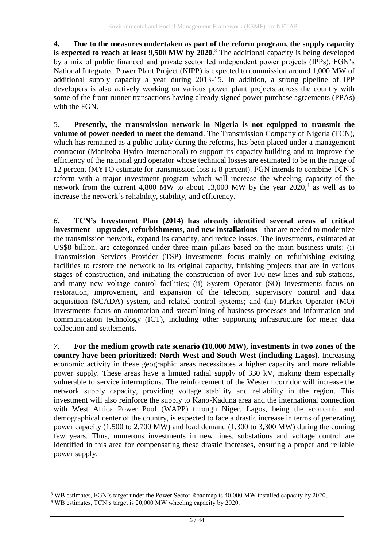**4. Due to the measures undertaken as part of the reform program, the supply capacity is expected to reach at least 9,500 MW by 2020**. <sup>3</sup> The additional capacity is being developed by a mix of public financed and private sector led independent power projects (IPPs). FGN's National Integrated Power Plant Project (NIPP) is expected to commission around 1,000 MW of additional supply capacity a year during 2013-15. In addition, a strong pipeline of IPP developers is also actively working on various power plant projects across the country with some of the front-runner transactions having already signed power purchase agreements (PPAs) with the FGN.

5. **Presently, the transmission network in Nigeria is not equipped to transmit the volume of power needed to meet the demand**. The Transmission Company of Nigeria (TCN), which has remained as a public utility during the reforms, has been placed under a management contractor (Manitoba Hydro International) to support its capacity building and to improve the efficiency of the national grid operator whose technical losses are estimated to be in the range of 12 percent (MYTO estimate for transmission loss is 8 percent). FGN intends to combine TCN's reform with a major investment program which will increase the wheeling capacity of the network from the current 4,800 MW to about 13,000 MW by the year 2020,<sup>4</sup> as well as to increase the network's reliability, stability, and efficiency.

*6.* **TCN's Investment Plan (2014) has already identified several areas of critical investment - upgrades, refurbishments, and new installations** - that are needed to modernize the transmission network, expand its capacity, and reduce losses. The investments, estimated at US\$8 billion, are categorized under three main pillars based on the main business units: (i) Transmission Services Provider (TSP) investments focus mainly on refurbishing existing facilities to restore the network to its original capacity, finishing projects that are in various stages of construction, and initiating the construction of over 100 new lines and sub-stations, and many new voltage control facilities; (ii) System Operator (SO) investments focus on restoration, improvement, and expansion of the telecom, supervisory control and data acquisition (SCADA) system, and related control systems; and (iii) Market Operator (MO) investments focus on automation and streamlining of business processes and information and communication technology (ICT), including other supporting infrastructure for meter data collection and settlements.

*7.* **For the medium growth rate scenario (10,000 MW), investments in two zones of the country have been prioritized: North-West and South-West (including Lagos)**. Increasing economic activity in these geographic areas necessitates a higher capacity and more reliable power supply. These areas have a limited radial supply of 330 kV, making them especially vulnerable to service interruptions. The reinforcement of the Western corridor will increase the network supply capacity, providing voltage stability and reliability in the region. This investment will also reinforce the supply to Kano-Kaduna area and the international connection with West Africa Power Pool (WAPP) through Niger. Lagos, being the economic and demographical center of the country, is expected to face a drastic increase in terms of generating power capacity (1,500 to 2,700 MW) and load demand (1,300 to 3,300 MW) during the coming few years. Thus, numerous investments in new lines, substations and voltage control are identified in this area for compensating these drastic increases, ensuring a proper and reliable power supply.

1

<sup>&</sup>lt;sup>3</sup> WB estimates, FGN's target under the Power Sector Roadmap is 40,000 MW installed capacity by 2020.

<sup>4</sup> WB estimates, TCN's target is 20,000 MW wheeling capacity by 2020.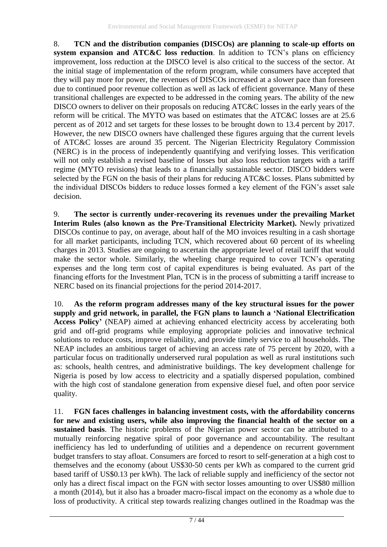8. **TCN and the distribution companies (DISCOs) are planning to scale-up efforts on system expansion and ATC&C loss reduction**. In addition to TCN's plans on efficiency improvement, loss reduction at the DISCO level is also critical to the success of the sector. At the initial stage of implementation of the reform program, while consumers have accepted that they will pay more for power, the revenues of DISCOs increased at a slower pace than foreseen due to continued poor revenue collection as well as lack of efficient governance. Many of these transitional challenges are expected to be addressed in the coming years. The ability of the new DISCO owners to deliver on their proposals on reducing ATC&C losses in the early years of the reform will be critical. The MYTO was based on estimates that the ATC&C losses are at 25.6 percent as of 2012 and set targets for these losses to be brought down to 13.4 percent by 2017. However, the new DISCO owners have challenged these figures arguing that the current levels of ATC&C losses are around 35 percent. The Nigerian Electricity Regulatory Commission (NERC) is in the process of independently quantifying and verifying losses. This verification will not only establish a revised baseline of losses but also loss reduction targets with a tariff regime (MYTO revisions) that leads to a financially sustainable sector. DISCO bidders were selected by the FGN on the basis of their plans for reducing ATC&C losses. Plans submitted by the individual DISCOs bidders to reduce losses formed a key element of the FGN's asset sale decision.

9. **The sector is currently under-recovering its revenues under the prevailing Market Interim Rules (also known as the Pre-Transitional Electricity Market).** Newly privatized DISCOs continue to pay, on average, about half of the MO invoices resulting in a cash shortage for all market participants, including TCN, which recovered about 60 percent of its wheeling charges in 2013. Studies are ongoing to ascertain the appropriate level of retail tariff that would make the sector whole. Similarly, the wheeling charge required to cover TCN's operating expenses and the long term cost of capital expenditures is being evaluated. As part of the financing efforts for the Investment Plan, TCN is in the process of submitting a tariff increase to NERC based on its financial projections for the period 2014-2017.

10. **As the reform program addresses many of the key structural issues for the power supply and grid network, in parallel, the FGN plans to launch a 'National Electrification Access Policy'** (NEAP) aimed at achieving enhanced electricity access by accelerating both grid and off-grid programs while employing appropriate policies and innovative technical solutions to reduce costs, improve reliability, and provide timely service to all households. The NEAP includes an ambitious target of achieving an access rate of 75 percent by 2020, with a particular focus on traditionally underserved rural population as well as rural institutions such as: schools, health centres, and administrative buildings. The key development challenge for Nigeria is posed by low access to electricity and a spatially dispersed population, combined with the high cost of standalone generation from expensive diesel fuel, and often poor service quality.

11. **FGN faces challenges in balancing investment costs, with the affordability concerns for new and existing users, while also improving the financial health of the sector on a sustained basis**. The historic problems of the Nigerian power sector can be attributed to a mutually reinforcing negative spiral of poor governance and accountability. The resultant inefficiency has led to underfunding of utilities and a dependence on recurrent government budget transfers to stay afloat. Consumers are forced to resort to self-generation at a high cost to themselves and the economy (about US\$30-50 cents per kWh as compared to the current grid based tariff of US\$0.13 per kWh). The lack of reliable supply and inefficiency of the sector not only has a direct fiscal impact on the FGN with sector losses amounting to over US\$80 million a month (2014), but it also has a broader macro-fiscal impact on the economy as a whole due to loss of productivity. A critical step towards realizing changes outlined in the Roadmap was the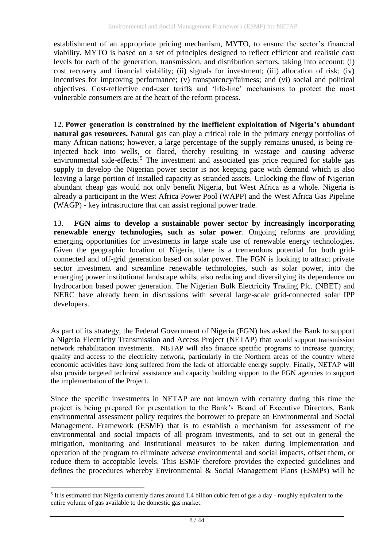establishment of an appropriate pricing mechanism, MYTO, to ensure the sector's financial viability. MYTO is based on a set of principles designed to reflect efficient and realistic cost levels for each of the generation, transmission, and distribution sectors, taking into account: (i) cost recovery and financial viability; (ii) signals for investment; (iii) allocation of risk; (iv) incentives for improving performance; (v) transparency/fairness; and (vi) social and political objectives. Cost-reflective end-user tariffs and 'life-line' mechanisms to protect the most vulnerable consumers are at the heart of the reform process.

12. **Power generation is constrained by the inefficient exploitation of Nigeria's abundant natural gas resources.** Natural gas can play a critical role in the primary energy portfolios of many African nations; however, a large percentage of the supply remains unused, is being reinjected back into wells, or flared, thereby resulting in wastage and causing adverse environmental side-effects.<sup>5</sup> The investment and associated gas price required for stable gas supply to develop the Nigerian power sector is not keeping pace with demand which is also leaving a large portion of installed capacity as stranded assets. Unlocking the flow of Nigerian abundant cheap gas would not only benefit Nigeria, but West Africa as a whole. Nigeria is already a participant in the West Africa Power Pool (WAPP) and the West Africa Gas Pipeline (WAGP) - key infrastructure that can assist regional power trade.

13. **FGN aims to develop a sustainable power sector by increasingly incorporating renewable energy technologies, such as solar power**. Ongoing reforms are providing emerging opportunities for investments in large scale use of renewable energy technologies. Given the geographic location of Nigeria, there is a tremendous potential for both gridconnected and off-grid generation based on solar power. The FGN is looking to attract private sector investment and streamline renewable technologies, such as solar power, into the emerging power institutional landscape whilst also reducing and diversifying its dependence on hydrocarbon based power generation. The Nigerian Bulk Electricity Trading Plc. (NBET) and NERC have already been in discussions with several large-scale grid-connected solar IPP developers.

As part of its strategy, the Federal Government of Nigeria (FGN) has asked the Bank to support a Nigeria Electricity Transmission and Access Project (NETAP) that would support transmission network rehabilitation investments. NETAP will also finance specific programs to increase quantity, quality and access to the electricity network, particularly in the Northern areas of the country where economic activities have long suffered from the lack of affordable energy supply. Finally, NETAP will also provide targeted technical assistance and capacity building support to the FGN agencies to support the implementation of the Project.

Since the specific investments in NETAP are not known with certainty during this time the project is being prepared for presentation to the Bank's Board of Executive Directors, Bank environmental assessment policy requires the borrower to prepare an Environmental and Social Management. Framework (ESMF) that is to establish a mechanism for assessment of the environmental and social impacts of all program investments, and to set out in general the mitigation, monitoring and institutional measures to be taken during implementation and operation of the program to eliminate adverse environmental and social impacts, offset them, or reduce them to acceptable levels. This ESMF therefore provides the expected guidelines and defines the procedures whereby Environmental & Social Management Plans (ESMPs) will be

1

 $<sup>5</sup>$  It is estimated that Nigeria currently flares around 1.4 billion cubic feet of gas a day - roughly equivalent to the</sup> entire volume of gas available to the domestic gas market.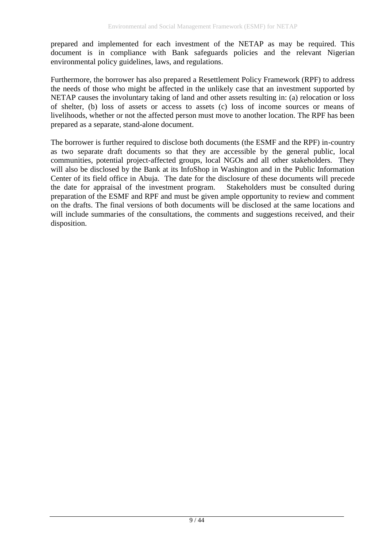prepared and implemented for each investment of the NETAP as may be required. This document is in compliance with Bank safeguards policies and the relevant Nigerian environmental policy guidelines, laws, and regulations.

Furthermore, the borrower has also prepared a Resettlement Policy Framework (RPF) to address the needs of those who might be affected in the unlikely case that an investment supported by NETAP causes the involuntary taking of land and other assets resulting in: (a) relocation or loss of shelter, (b) loss of assets or access to assets (c) loss of income sources or means of livelihoods, whether or not the affected person must move to another location. The RPF has been prepared as a separate, stand-alone document.

The borrower is further required to disclose both documents (the ESMF and the RPF) in-country as two separate draft documents so that they are accessible by the general public, local communities, potential project-affected groups, local NGOs and all other stakeholders. They will also be disclosed by the Bank at its InfoShop in Washington and in the Public Information Center of its field office in Abuja. The date for the disclosure of these documents will precede the date for appraisal of the investment program. Stakeholders must be consulted during preparation of the ESMF and RPF and must be given ample opportunity to review and comment on the drafts. The final versions of both documents will be disclosed at the same locations and will include summaries of the consultations, the comments and suggestions received, and their disposition.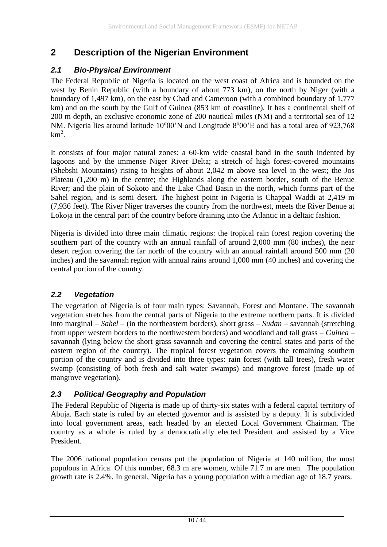### <span id="page-9-0"></span>**2 Description of the Nigerian Environment**

### <span id="page-9-1"></span>*2.1 Bio-Physical Environment*

The Federal Republic of Nigeria is located on the west coast of Africa and is bounded on the west by Benin Republic (with a boundary of about 773 km), on the north by Niger (with a boundary of 1,497 km), on the east by Chad and Cameroon (with a combined boundary of 1,777 km) and on the south by the Gulf of Guinea (853 km of coastline). It has a continental shelf of 200 m depth, an exclusive economic zone of 200 nautical miles (NM) and a territorial sea of 12 NM. Nigeria lies around latitude 10°00'N and Longitude 8°00'E and has a total area of 923,768  $km^2$ .

It consists of four major natural zones: a 60-km wide coastal band in the south indented by lagoons and by the immense Niger River Delta; a stretch of high forest-covered mountains (Shebshi Mountains) rising to heights of about 2,042 m above sea level in the west; the Jos Plateau (1,200 m) in the centre; the Highlands along the eastern border, south of the Benue River; and the plain of Sokoto and the Lake Chad Basin in the north, which forms part of the Sahel region, and is semi desert. The highest point in Nigeria is Chappal Waddi at 2,419 m (7,936 feet). The River Niger traverses the country from the northwest, meets the River Benue at Lokoja in the central part of the country before draining into the Atlantic in a deltaic fashion.

Nigeria is divided into three main climatic regions: the tropical rain forest region covering the southern part of the country with an annual rainfall of around 2,000 mm (80 inches), the near desert region covering the far north of the country with an annual rainfall around 500 mm (20) inches) and the savannah region with annual rains around 1,000 mm (40 inches) and covering the central portion of the country.

### <span id="page-9-2"></span>*2.2 Vegetation*

The vegetation of Nigeria is of four main types: Savannah, Forest and Montane. The savannah vegetation stretches from the central parts of Nigeria to the extreme northern parts. It is divided into marginal – *Sahel* – (in the northeastern borders), short grass – *Sudan* – savannah (stretching from upper western borders to the northwestern borders) and woodland and tall grass – *Guinea* – savannah (lying below the short grass savannah and covering the central states and parts of the eastern region of the country). The tropical forest vegetation covers the remaining southern portion of the country and is divided into three types: rain forest (with tall trees), fresh water swamp (consisting of both fresh and salt water swamps) and mangrove forest (made up of mangrove vegetation).

### <span id="page-9-3"></span>*2.3 Political Geography and Population*

The Federal Republic of Nigeria is made up of thirty-six states with a federal capital territory of Abuja. Each state is ruled by an elected governor and is assisted by a deputy. It is subdivided into local government areas, each headed by an elected Local Government Chairman. The country as a whole is ruled by a democratically elected President and assisted by a Vice President.

The 2006 national population census put the population of Nigeria at 140 million, the most populous in Africa. Of this number, 68.3 m are women, while 71.7 m are men. The population growth rate is 2.4%. In general, Nigeria has a young population with a median age of 18.7 years.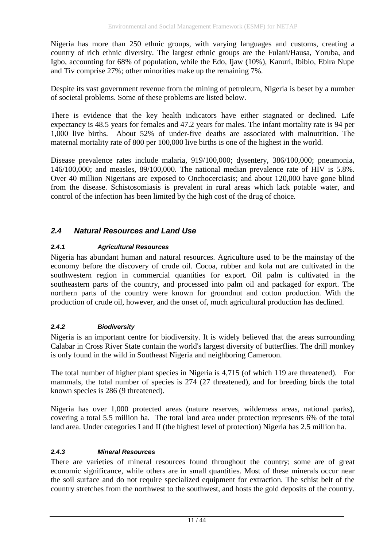Nigeria has more than 250 ethnic groups, with varying languages and customs, creating a country of rich ethnic diversity. The largest ethnic groups are the Fulani/Hausa, Yoruba, and Igbo, accounting for 68% of population, while the Edo, Ijaw (10%), Kanuri, Ibibio, Ebira Nupe and Tiv comprise 27%; other minorities make up the remaining 7%.

Despite its vast government revenue from the mining of petroleum, Nigeria is beset by a number of societal problems. Some of these problems are listed below.

There is evidence that the key health indicators have either stagnated or declined. Life expectancy is 48.5 years for females and 47.2 years for males. The infant mortality rate is 94 per 1,000 live births. About 52% of under-five deaths are associated with malnutrition. The maternal mortality rate of 800 per 100,000 live births is one of the highest in the world.

Disease prevalence rates include malaria, 919/100,000; dysentery, 386/100,000; pneumonia, 146/100,000; and measles, 89/100,000. The national median prevalence rate of HIV is 5.8%. Over 40 million Nigerians are exposed to Onchocerciasis; and about 120,000 have gone blind from the disease. Schistosomiasis is prevalent in rural areas which lack potable water, and control of the infection has been limited by the high cost of the drug of choice.

#### <span id="page-10-0"></span>*2.4 Natural Resources and Land Use*

#### *2.4.1 Agricultural Resources*

Nigeria has abundant human and natural resources. Agriculture used to be the mainstay of the economy before the discovery of crude oil. Cocoa, rubber and kola nut are cultivated in the southwestern region in commercial quantities for export. Oil palm is cultivated in the southeastern parts of the country, and processed into palm oil and packaged for export. The northern parts of the country were known for groundnut and cotton production. With the production of crude oil, however, and the onset of, much agricultural production has declined.

#### *2.4.2 Biodiversity*

Nigeria is an important centre for biodiversity. It is widely believed that the areas surrounding Calabar in Cross River State contain the world's largest diversity of butterflies. The drill monkey is only found in the wild in Southeast Nigeria and neighboring Cameroon.

The total number of higher plant species in Nigeria is 4,715 (of which 119 are threatened). For mammals, the total number of species is 274 (27 threatened), and for breeding birds the total known species is 286 (9 threatened).

Nigeria has over 1,000 protected areas (nature reserves, wilderness areas, national parks), covering a total 5.5 million ha. The total land area under protection represents 6% of the total land area. Under categories I and II (the highest level of protection) Nigeria has 2.5 million ha.

#### *2.4.3 Mineral Resources*

There are varieties of mineral resources found throughout the country; some are of great economic significance, while others are in small quantities. Most of these minerals occur near the soil surface and do not require specialized equipment for extraction. The schist belt of the country stretches from the northwest to the southwest, and hosts the gold deposits of the country.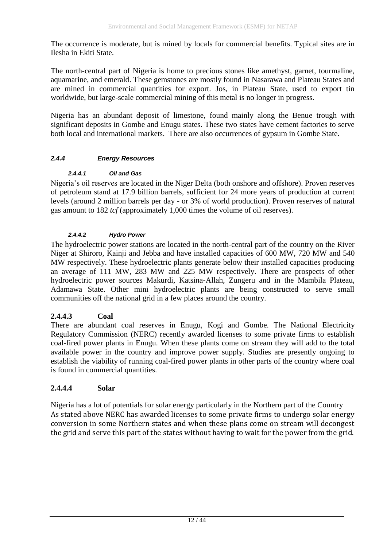The occurrence is moderate, but is mined by locals for commercial benefits. Typical sites are in Ilesha in Ekiti State.

The north-central part of Nigeria is home to precious stones like amethyst, garnet, tourmaline, aquamarine, and emerald. These gemstones are mostly found in Nasarawa and Plateau States and are mined in commercial quantities for export. Jos, in Plateau State, used to export tin worldwide, but large-scale commercial mining of this metal is no longer in progress.

Nigeria has an abundant deposit of limestone, found mainly along the Benue trough with significant deposits in Gombe and Enugu states. These two states have cement factories to serve both local and international markets. There are also occurrences of gypsum in Gombe State.

#### *2.4.4 Energy Resources*

#### *2.4.4.1 Oil and Gas*

Nigeria's oil reserves are located in the Niger Delta (both onshore and offshore). Proven reserves of petroleum stand at 17.9 billion barrels, sufficient for 24 more years of production at current levels (around 2 million barrels per day - or 3% of world production). Proven reserves of natural gas amount to 182 *tcf* (approximately 1,000 times the volume of oil reserves).

#### *2.4.4.2 Hydro Power*

The hydroelectric power stations are located in the north-central part of the country on the River Niger at Shiroro, Kainji and Jebba and have installed capacities of 600 MW, 720 MW and 540 MW respectively. These hydroelectric plants generate below their installed capacities producing an average of 111 MW, 283 MW and 225 MW respectively. There are prospects of other hydroelectric power sources Makurdi, Katsina-Allah, Zungeru and in the Mambila Plateau, Adamawa State. Other mini hydroelectric plants are being constructed to serve small communities off the national grid in a few places around the country.

#### **2.4.4.3 Coal**

There are abundant coal reserves in Enugu, Kogi and Gombe. The National Electricity Regulatory Commission (NERC) recently awarded licenses to some private firms to establish coal-fired power plants in Enugu. When these plants come on stream they will add to the total available power in the country and improve power supply. Studies are presently ongoing to establish the viability of running coal-fired power plants in other parts of the country where coal is found in commercial quantities.

#### **2.4.4.4 Solar**

Nigeria has a lot of potentials for solar energy particularly in the Northern part of the Country As stated above NERC has awarded licenses to some private firms to undergo solar energy conversion in some Northern states and when these plans come on stream will decongest the grid and serve this part of the states without having to wait for the power from the grid.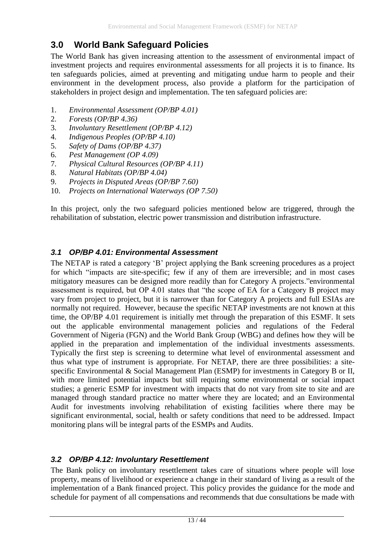### <span id="page-12-0"></span>**3.0 World Bank Safeguard Policies**

The World Bank has given increasing attention to the assessment of environmental impact of investment projects and requires environmental assessments for all projects it is to finance. Its ten safeguards policies, aimed at preventing and mitigating undue harm to people and their environment in the development process, also provide a platform for the participation of stakeholders in project design and implementation. The ten safeguard policies are:

- 1. *Environmental Assessment (OP/BP 4.01)*
- 2. *Forests (OP/BP 4.36)*
- 3. *Involuntary Resettlement (OP/BP 4.12)*
- 4. *Indigenous Peoples (OP/BP 4.10)*
- 5. *Safety of Dams (OP/BP 4.37)*
- 6. *Pest Management (OP 4.09)*
- 7. *Physical Cultural Resources (OP/BP 4.11)*
- 8. *Natural Habitats (OP/BP 4.04)*
- 9. *Projects in Disputed Areas (OP/BP 7.60)*
- 10. *Projects on International Waterways (OP 7.50)*

In this project, only the two safeguard policies mentioned below are triggered, through the rehabilitation of substation, electric power transmission and distribution infrastructure.

#### <span id="page-12-1"></span>*3.1 OP/BP 4.01: Environmental Assessment*

The NETAP is rated a category 'B' project applying the Bank screening procedures as a project for which "impacts are site-specific; few if any of them are irreversible; and in most cases mitigatory measures can be designed more readily than for Category A projects."environmental assessment is required, but OP 4.01 states that "the scope of EA for a Category B project may vary from project to project, but it is narrower than for Category A projects and full ESIAs are normally not required. However, because the specific NETAP investments are not known at this time, the OP/BP 4.01 requirement is initially met through the preparation of this ESMF. It sets out the applicable environmental management policies and regulations of the Federal Government of Nigeria (FGN) and the World Bank Group (WBG) and defines how they will be applied in the preparation and implementation of the individual investments assessments. Typically the first step is screening to determine what level of environmental assessment and thus what type of instrument is appropriate. For NETAP, there are three possibilities: a sitespecific Environmental & Social Management Plan (ESMP) for investments in Category B or II, with more limited potential impacts but still requiring some environmental or social impact studies; a generic ESMP for investment with impacts that do not vary from site to site and are managed through standard practice no matter where they are located; and an Environmental Audit for investments involving rehabilitation of existing facilities where there may be significant environmental, social, health or safety conditions that need to be addressed. Impact monitoring plans will be integral parts of the ESMPs and Audits.

#### <span id="page-12-2"></span>*3.2 OP/BP 4.12: Involuntary Resettlement*

The Bank policy on involuntary resettlement takes care of situations where people will lose property, means of livelihood or experience a change in their standard of living as a result of the implementation of a Bank financed project. This policy provides the guidance for the mode and schedule for payment of all compensations and recommends that due consultations be made with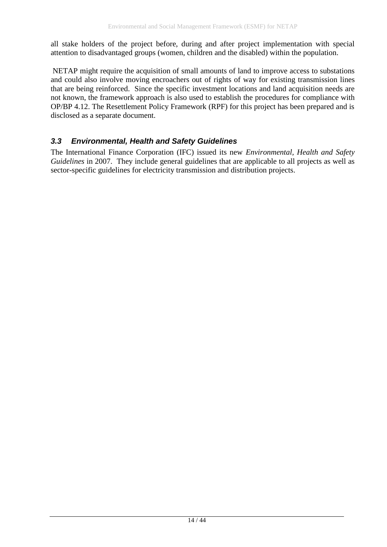all stake holders of the project before, during and after project implementation with special attention to disadvantaged groups (women, children and the disabled) within the population.

NETAP might require the acquisition of small amounts of land to improve access to substations and could also involve moving encroachers out of rights of way for existing transmission lines that are being reinforced. Since the specific investment locations and land acquisition needs are not known, the framework approach is also used to establish the procedures for compliance with OP/BP 4.12. The Resettlement Policy Framework (RPF) for this project has been prepared and is disclosed as a separate document.

### <span id="page-13-0"></span>*3.3 Environmental, Health and Safety Guidelines*

The International Finance Corporation (IFC) issued its new *Environmental, Health and Safety Guidelines* in 2007. They include general guidelines that are applicable to all projects as well as sector-specific guidelines for electricity transmission and distribution projects.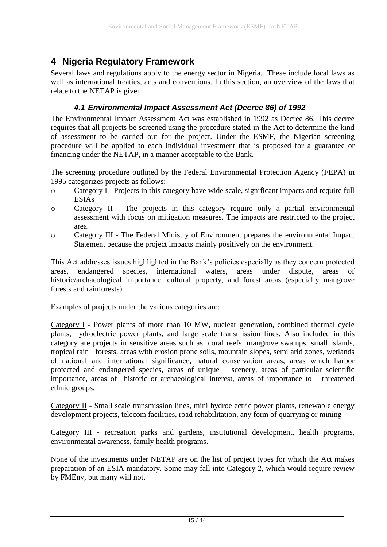### <span id="page-14-0"></span>**4 Nigeria Regulatory Framework**

Several laws and regulations apply to the energy sector in Nigeria. These include local laws as well as international treaties, acts and conventions. In this section, an overview of the laws that relate to the NETAP is given.

#### *4.1 Environmental Impact Assessment Act (Decree 86) of 1992*

<span id="page-14-1"></span>The Environmental Impact Assessment Act was established in 1992 as Decree 86. This decree requires that all projects be screened using the procedure stated in the Act to determine the kind of assessment to be carried out for the project. Under the ESMF, the Nigerian screening procedure will be applied to each individual investment that is proposed for a guarantee or financing under the NETAP, in a manner acceptable to the Bank.

The screening procedure outlined by the Federal Environmental Protection Agency (FEPA) in 1995 categorizes projects as follows:

- o Category I Projects in this category have wide scale, significant impacts and require full ESIAs
- o Category II The projects in this category require only a partial environmental assessment with focus on mitigation measures. The impacts are restricted to the project area.
- o Category III The Federal Ministry of Environment prepares the environmental Impact Statement because the project impacts mainly positively on the environment.

This Act addresses issues highlighted in the Bank's policies especially as they concern protected areas, endangered species, international waters, areas under dispute, areas of historic/archaeological importance, cultural property, and forest areas (especially mangrove forests and rainforests).

Examples of projects under the various categories are:

Category I - Power plants of more than 10 MW, nuclear generation, combined thermal cycle plants, hydroelectric power plants, and large scale transmission lines. Also included in this category are projects in sensitive areas such as: coral reefs, mangrove swamps, small islands, tropical rain forests, areas with erosion prone soils, mountain slopes, semi arid zones, wetlands of national and international significance, natural conservation areas, areas which harbor protected and endangered species, areas of unique scenery, areas of particular scientific importance, areas of historic or archaeological interest, areas of importance to threatened ethnic groups.

Category II - Small scale transmission lines, mini hydroelectric power plants, renewable energy development projects, telecom facilities, road rehabilitation, any form of quarrying or mining

Category III - recreation parks and gardens, institutional development, health programs, environmental awareness, family health programs.

None of the investments under NETAP are on the list of project types for which the Act makes preparation of an ESIA mandatory. Some may fall into Category 2, which would require review by FMEnv, but many will not.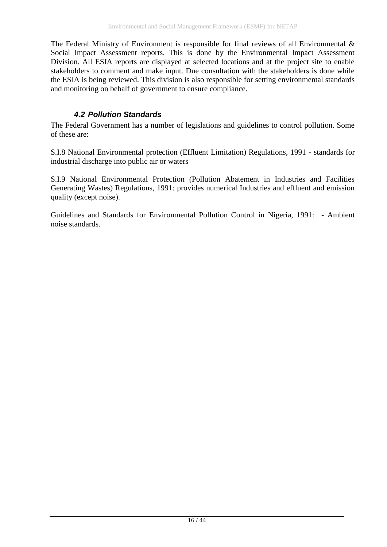The Federal Ministry of Environment is responsible for final reviews of all Environmental  $\&$ Social Impact Assessment reports. This is done by the Environmental Impact Assessment Division. All ESIA reports are displayed at selected locations and at the project site to enable stakeholders to comment and make input. Due consultation with the stakeholders is done while the ESIA is being reviewed. This division is also responsible for setting environmental standards and monitoring on behalf of government to ensure compliance.

### *4.2 Pollution Standards*

<span id="page-15-0"></span>The Federal Government has a number of legislations and guidelines to control pollution. Some of these are:

S.I.8 National Environmental protection (Effluent Limitation) Regulations, 1991 - standards for industrial discharge into public air or waters

S.I.9 National Environmental Protection (Pollution Abatement in Industries and Facilities Generating Wastes) Regulations, 1991: provides numerical Industries and effluent and emission quality (except noise).

Guidelines and Standards for Environmental Pollution Control in Nigeria, 1991: - Ambient noise standards.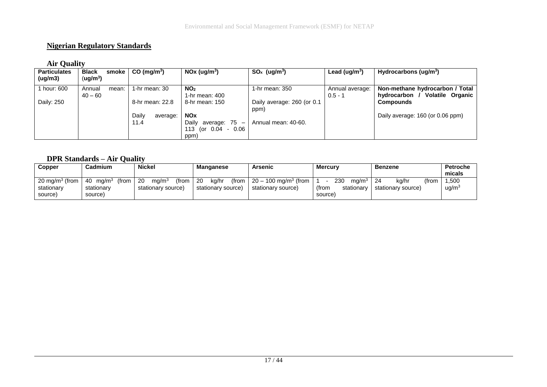#### **Nigerian Regulatory Standards**

#### **Air Quality**

| <b>Particulates</b> | <b>Black</b> | smoke | $CO \ (mq/m^3)$ |                 | NOx (ug/m <sup>3</sup> )   | $SO_x$ (ug/m <sup>3</sup> ) | Lead (ug/m <sup>3</sup> ) | Hydrocarbons (ug/m <sup>3</sup> )        |
|---------------------|--------------|-------|-----------------|-----------------|----------------------------|-----------------------------|---------------------------|------------------------------------------|
| (ug/m3)             | (ug/m $^3$ ) |       |                 |                 |                            |                             |                           |                                          |
| 1 hour: 600         | Annual       | mean: |                 | 1-hr mean: 30   | NO <sub>2</sub>            | 1-hr mean: 350              | Annual average:           | Non-methane hydrocarbon / Total          |
|                     | $40 - 60$    |       |                 |                 | 1-hr mean: 400             |                             | $0.5 - 1$                 | <b>Volatile Organic</b><br>hydrocarbon / |
| Daily: 250          |              |       |                 | 8-hr mean: 22.8 | 8-hr mean: 150             | Daily average: 260 (or 0.1  |                           | <b>Compounds</b>                         |
|                     |              |       |                 |                 |                            | ppm)                        |                           |                                          |
|                     |              |       | Daily           | average:        | <b>NOx</b>                 |                             |                           | Daily average: 160 (or 0.06 ppm)         |
|                     |              |       | 11.4            |                 | Dailv<br>average: 75 -     | Annual mean: 40-60.         |                           |                                          |
|                     |              |       |                 |                 | - 0.06<br>113.<br>or 0.04) |                             |                           |                                          |
|                     |              |       |                 |                 | ppm)                       |                             |                           |                                          |

#### **DPR Standards – Air Quality**

| Copper                                                      | <b>Cadmium</b>                                              | <b>Nickel</b>                                          | Manganese                                   | Arsenic                                                  | <b>Mercury</b>                                             | <b>Benzene</b>                       | <b>Petroche</b><br>micals       |
|-------------------------------------------------------------|-------------------------------------------------------------|--------------------------------------------------------|---------------------------------------------|----------------------------------------------------------|------------------------------------------------------------|--------------------------------------|---------------------------------|
| 20 mg/m <sup>3</sup> (from $\vert$<br>stationary<br>source) | ma/m <sup>3</sup><br>(from<br>- 40<br>stationarv<br>source) | (from<br>20<br>ma/m <sup>3</sup><br>stationary source) | -20<br>(from<br>kg/hr<br>stationary source) | $20 - 100$ mg/m <sup>3</sup> (from<br>stationary source) | 230<br>ma/m <sup>3</sup><br>(from<br>stationarv<br>source) | (from<br>kg/hr<br>stationary source) | 1,500<br>$\mu$ g/m <sup>3</sup> |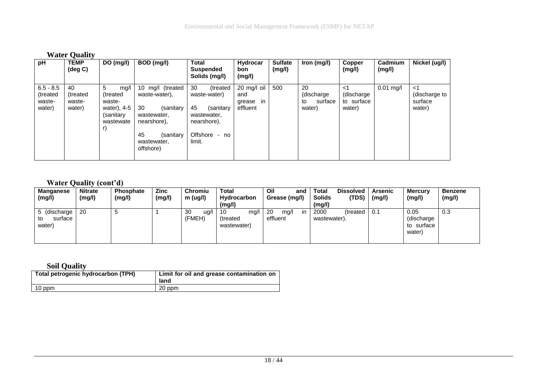|                                             | <b>Water Quality</b>               |                                                                                |                                                                                                                                   |                                                                                                                 |                                                |                          |                                              |                                          |                   |                                          |
|---------------------------------------------|------------------------------------|--------------------------------------------------------------------------------|-----------------------------------------------------------------------------------------------------------------------------------|-----------------------------------------------------------------------------------------------------------------|------------------------------------------------|--------------------------|----------------------------------------------|------------------------------------------|-------------------|------------------------------------------|
| pH                                          | <b>TEMP</b><br>$(\text{deg } C)$   | DO (mg/l)                                                                      | BOD (mg/l)                                                                                                                        | <b>Total</b><br><b>Suspended</b><br>Solids (mg/l)                                                               | Hydrocar<br>bon<br>(mg/l)                      | <b>Sulfate</b><br>(mg/l) | Iron (mg/l)                                  | Copper<br>(mg/l)                         | Cadmium<br>(mg/l) | Nickel (ug/l)                            |
| $6.5 - 8.5$<br>(treated<br>waste-<br>water) | 40<br>(treated<br>waste-<br>water) | 5<br>mq/l<br>(treated<br>waste-<br>water), 4-5<br>(sanitary<br>wastewate<br>r) | 10 mg/l (treated<br>waste-water),<br>30<br>(sanitary<br>wastewater,<br>nearshore),<br>45<br>(sanitary<br>wastewater,<br>offshore) | 30<br>(treated<br>waste-water)<br>45<br>(sanitary<br>wastewater,<br>nearshore).<br>Offshore<br>$- no$<br>limit. | 20 mg/l oil<br>and<br>in<br>grease<br>effluent | 500                      | 20<br>(discharge)<br>surface<br>to<br>water) | ا><br>(discharge<br>to surface<br>water) | $0.01$ mg/l       | ا><br>(discharge to<br>surface<br>water) |

#### **Water Quality (cont'd)**

| <b>Manganese</b><br>(mg/l)              | <b>Nitrate</b><br>(mg/l) | <b>Phosphate</b><br>(mg/l) | Zinc<br>(mg/l) | Chromiu<br>m (ug/l)  | Total<br>Hydrocarbon<br>(mg/l)         | Oil<br>and<br>Grease (mg/l)  | <b>Total</b><br><b>Dissolved</b><br>(TDS)<br><b>Solids</b><br>(mg/l) | Arsenic<br>(mg/l) | <b>Mercury</b><br>(mg/l)                   | <b>Benzene</b><br>(mg/l) |
|-----------------------------------------|--------------------------|----------------------------|----------------|----------------------|----------------------------------------|------------------------------|----------------------------------------------------------------------|-------------------|--------------------------------------------|--------------------------|
| 5 (discharge<br>surface<br>to<br>water) | 20                       |                            |                | 30<br>ug/l<br>(FMEH) | -10<br>mg/l<br>(treated<br>wastewater) | 20<br>mg/l<br>in<br>effluent | 2000<br>(treated<br>wastewater).                                     | 0.1               | 0.05<br>(discharge)<br>to surface<br>water | 0.3                      |

### **Soil Quality**

| Total petrogenic hydrocarbon (TPH) | Limit for oil and grease contamination on<br>land |
|------------------------------------|---------------------------------------------------|
| 10 ppm                             | 20 ppm                                            |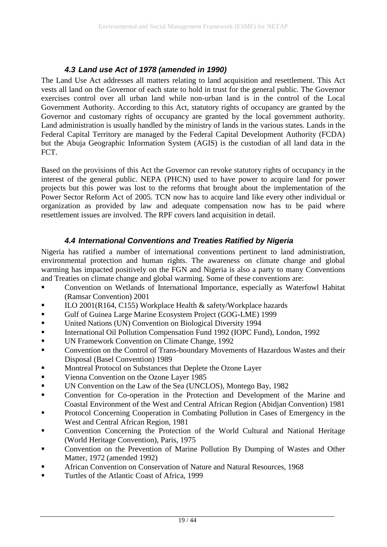#### *4.3 Land use Act of 1978 (amended in 1990)*

<span id="page-18-0"></span>The Land Use Act addresses all matters relating to land acquisition and resettlement. This Act vests all land on the Governor of each state to hold in trust for the general public. The Governor exercises control over all urban land while non-urban land is in the control of the Local Government Authority. According to this Act, statutory rights of occupancy are granted by the Governor and customary rights of occupancy are granted by the local government authority. Land administration is usually handled by the ministry of lands in the various states. Lands in the Federal Capital Territory are managed by the Federal Capital Development Authority (FCDA) but the Abuja Geographic Information System (AGIS) is the custodian of all land data in the FCT.

Based on the provisions of this Act the Governor can revoke statutory rights of occupancy in the interest of the general public. NEPA (PHCN) used to have power to acquire land for power projects but this power was lost to the reforms that brought about the implementation of the Power Sector Reform Act of 2005. TCN now has to acquire land like every other individual or organization as provided by law and adequate compensation now has to be paid where resettlement issues are involved. The RPF covers land acquisition in detail.

#### *4.4 International Conventions and Treaties Ratified by Nigeria*

<span id="page-18-1"></span>Nigeria has ratified a number of international conventions pertinent to land administration, environmental protection and human rights. The awareness on climate change and global warming has impacted positively on the FGN and Nigeria is also a party to many Conventions and Treaties on climate change and global warming. Some of these conventions are:

- Convention on Wetlands of International Importance, especially as Waterfowl Habitat (Ramsar Convention) 2001
- ILO 2001(R164, C155) Workplace Health & safety/Workplace hazards
- Gulf of Guinea Large Marine Ecosystem Project (GOG-LME) 1999
- United Nations (UN) Convention on Biological Diversity 1994
- International Oil Pollution Compensation Fund 1992 (IOPC Fund), London, 1992
- UN Framework Convention on Climate Change, 1992
- **Convention on the Control of Trans-boundary Movements of Hazardous Wastes and their** Disposal (Basel Convention) 1989
- Montreal Protocol on Substances that Deplete the Ozone Layer
- Vienna Convention on the Ozone Layer 1985
- UN Convention on the Law of the Sea (UNCLOS), Montego Bay, 1982
- Convention for Co-operation in the Protection and Development of the Marine and Coastal Environment of the West and Central African Region (Abidjan Convention) 1981
- Protocol Concerning Cooperation in Combating Pollution in Cases of Emergency in the West and Central African Region, 1981
- Convention Concerning the Protection of the World Cultural and National Heritage (World Heritage Convention), Paris, 1975
- Convention on the Prevention of Marine Pollution By Dumping of Wastes and Other Matter, 1972 (amended 1992)
- African Convention on Conservation of Nature and Natural Resources, 1968
- Turtles of the Atlantic Coast of Africa, 1999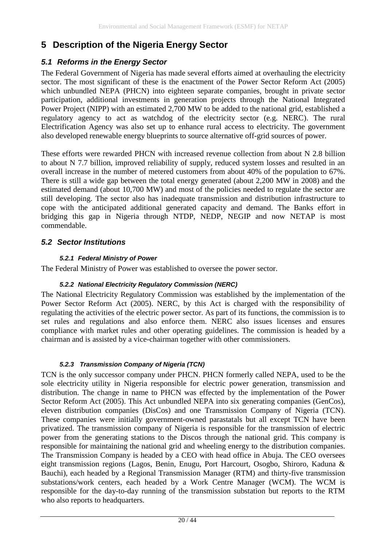### <span id="page-19-0"></span>**5 Description of the Nigeria Energy Sector**

#### <span id="page-19-1"></span>*5.1 Reforms in the Energy Sector*

The Federal Government of Nigeria has made several efforts aimed at overhauling the electricity sector. The most significant of these is the enactment of the Power Sector Reform Act (2005) which unbundled NEPA (PHCN) into eighteen separate companies, brought in private sector participation, additional investments in generation projects through the National Integrated Power Project (NIPP) with an estimated 2,700 MW to be added to the national grid, established a regulatory agency to act as watchdog of the electricity sector (e.g. NERC). The rural Electrification Agency was also set up to enhance rural access to electricity. The government also developed renewable energy blueprints to source alternative off-grid sources of power.

These efforts were rewarded PHCN with increased revenue collection from about N 2.8 billion to about N 7.7 billion, improved reliability of supply, reduced system losses and resulted in an overall increase in the number of metered customers from about 40% of the population to 67%. There is still a wide gap between the total energy generated (about 2,200 MW in 2008) and the estimated demand (about 10,700 MW) and most of the policies needed to regulate the sector are still developing. The sector also has inadequate transmission and distribution infrastructure to cope with the anticipated additional generated capacity and demand. The Banks effort in bridging this gap in Nigeria through NTDP, NEDP, NEGIP and now NETAP is most commendable.

#### <span id="page-19-2"></span>*5.2 Sector Institutions*

#### *5.2.1 Federal Ministry of Power*

The Federal Ministry of Power was established to oversee the power sector.

#### *5.2.2 National Electricity Regulatory Commission (NERC)*

The National Electricity Regulatory Commission was established by the implementation of the Power Sector Reform Act (2005). NERC, by this Act is charged with the responsibility of regulating the activities of the electric power sector. As part of its functions, the commission is to set rules and regulations and also enforce them. NERC also issues licenses and ensures compliance with market rules and other operating guidelines. The commission is headed by a chairman and is assisted by a vice-chairman together with other commissioners.

#### *5.2.3 Transmission Company of Nigeria (TCN)*

TCN is the only successor company under PHCN. PHCN formerly called NEPA, used to be the sole electricity utility in Nigeria responsible for electric power generation, transmission and distribution. The change in name to PHCN was effected by the implementation of the Power Sector Reform Act (2005). This Act unbundled NEPA into six generating companies (GenCos), eleven distribution companies (DisCos) and one Transmission Company of Nigeria (TCN). These companies were initially government-owned parastatals but all except TCN have been privatized. The transmission company of Nigeria is responsible for the transmission of electric power from the generating stations to the Discos through the national grid. This company is responsible for maintaining the national grid and wheeling energy to the distribution companies. The Transmission Company is headed by a CEO with head office in Abuja. The CEO oversees eight transmission regions (Lagos, Benin, Enugu, Port Harcourt, Osogbo, Shiroro, Kaduna & Bauchi), each headed by a Regional Transmission Manager (RTM) and thirty-five transmission substations/work centers, each headed by a Work Centre Manager (WCM). The WCM is responsible for the day-to-day running of the transmission substation but reports to the RTM who also reports to headquarters.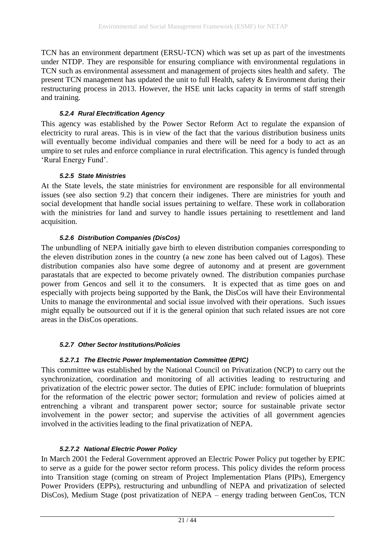TCN has an environment department (ERSU-TCN) which was set up as part of the investments under NTDP. They are responsible for ensuring compliance with environmental regulations in TCN such as environmental assessment and management of projects sites health and safety. The present TCN management has updated the unit to full Health, safety & Environment during their restructuring process in 2013. However, the HSE unit lacks capacity in terms of staff strength and training.

#### *5.2.4 Rural Electrification Agency*

This agency was established by the Power Sector Reform Act to regulate the expansion of electricity to rural areas. This is in view of the fact that the various distribution business units will eventually become individual companies and there will be need for a body to act as an umpire to set rules and enforce compliance in rural electrification. This agency is funded through 'Rural Energy Fund'.

#### *5.2.5 State Ministries*

At the State levels, the state ministries for environment are responsible for all environmental issues (see also section [9.2\)](#page-34-0) that concern their indigenes. There are ministries for youth and social development that handle social issues pertaining to welfare. These work in collaboration with the ministries for land and survey to handle issues pertaining to resettlement and land acquisition.

#### *5.2.6 Distribution Companies (DisCos)*

The unbundling of NEPA initially gave birth to eleven distribution companies corresponding to the eleven distribution zones in the country (a new zone has been calved out of Lagos). These distribution companies also have some degree of autonomy and at present are government parastatals that are expected to become privately owned. The distribution companies purchase power from Gencos and sell it to the consumers. It is expected that as time goes on and especially with projects being supported by the Bank, the DisCos will have their Environmental Units to manage the environmental and social issue involved with their operations. Such issues might equally be outsourced out if it is the general opinion that such related issues are not core areas in the DisCos operations.

#### *5.2.7 Other Sector Institutions/Policies*

#### *5.2.7.1 The Electric Power Implementation Committee (EPIC)*

This committee was established by the National Council on Privatization (NCP) to carry out the synchronization, coordination and monitoring of all activities leading to restructuring and privatization of the electric power sector. The duties of EPIC include: formulation of blueprints for the reformation of the electric power sector; formulation and review of policies aimed at entrenching a vibrant and transparent power sector; source for sustainable private sector involvement in the power sector; and supervise the activities of all government agencies involved in the activities leading to the final privatization of NEPA.

#### *5.2.7.2 National Electric Power Policy*

In March 2001 the Federal Government approved an Electric Power Policy put together by EPIC to serve as a guide for the power sector reform process. This policy divides the reform process into Transition stage (coming on stream of Project Implementation Plans (PIPs), Emergency Power Providers (EPPs), restructuring and unbundling of NEPA and privatization of selected DisCos), Medium Stage (post privatization of NEPA – energy trading between GenCos, TCN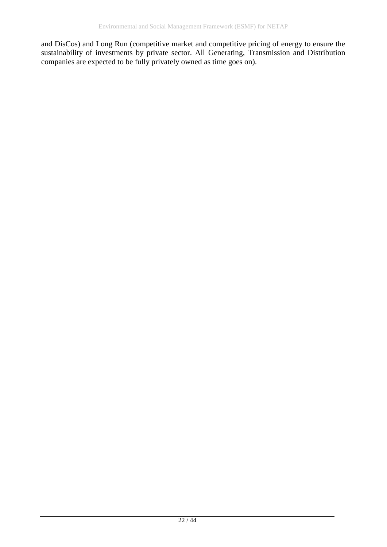and DisCos) and Long Run (competitive market and competitive pricing of energy to ensure the sustainability of investments by private sector. All Generating, Transmission and Distribution companies are expected to be fully privately owned as time goes on).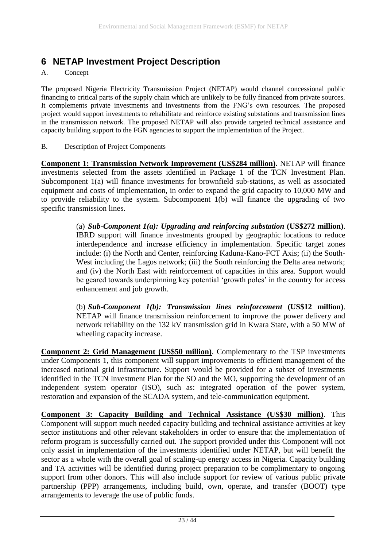### <span id="page-22-0"></span>**6 NETAP Investment Project Description**

#### A. Concept

The proposed Nigeria Electricity Transmission Project (NETAP) would channel concessional public financing to critical parts of the supply chain which are unlikely to be fully financed from private sources. It complements private investments and investments from the FNG's own resources. The proposed project would support investments to rehabilitate and reinforce existing substations and transmission lines in the transmission network. The proposed NETAP will also provide targeted technical assistance and capacity building support to the FGN agencies to support the implementation of the Project.

#### B. Description of Project Components

**Component 1: Transmission Network Improvement (US\$284 million).** NETAP will finance investments selected from the assets identified in Package 1 of the TCN Investment Plan. Subcomponent 1(a) will finance investments for brownfield sub-stations, as well as associated equipment and costs of implementation, in order to expand the grid capacity to 10,000 MW and to provide reliability to the system. Subcomponent 1(b) will finance the upgrading of two specific transmission lines.

> (a) *Sub-Component 1(a): Upgrading and reinforcing substation* **(US\$272 million)**. IBRD support will finance investments grouped by geographic locations to reduce interdependence and increase efficiency in implementation. Specific target zones include: (i) the North and Center, reinforcing Kaduna-Kano-FCT Axis; (ii) the South-West including the Lagos network; (iii) the South reinforcing the Delta area network; and (iv) the North East with reinforcement of capacities in this area. Support would be geared towards underpinning key potential 'growth poles' in the country for access enhancement and job growth.

> (b) *Sub-Component 1(b): Transmission lines reinforcement* **(US\$12 million)**. NETAP will finance transmission reinforcement to improve the power delivery and network reliability on the 132 kV transmission grid in Kwara State, with a 50 MW of wheeling capacity increase.

**Component 2: Grid Management (US\$50 million)**. Complementary to the TSP investments under Components 1, this component will support improvements to efficient management of the increased national grid infrastructure. Support would be provided for a subset of investments identified in the TCN Investment Plan for the SO and the MO, supporting the development of an independent system operator (ISO), such as: integrated operation of the power system, restoration and expansion of the SCADA system, and tele-communication equipment.

**Component 3: Capacity Building and Technical Assistance (US\$30 million)**. This Component will support much needed capacity building and technical assistance activities at key sector institutions and other relevant stakeholders in order to ensure that the implementation of reform program is successfully carried out. The support provided under this Component will not only assist in implementation of the investments identified under NETAP, but will benefit the sector as a whole with the overall goal of scaling-up energy access in Nigeria. Capacity building and TA activities will be identified during project preparation to be complimentary to ongoing support from other donors. This will also include support for review of various public private partnership (PPP) arrangements, including build, own, operate, and transfer (BOOT) type arrangements to leverage the use of public funds.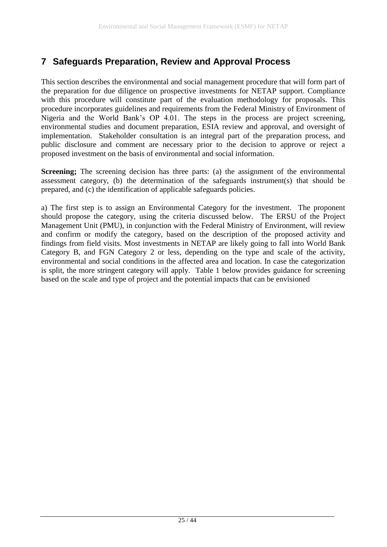### <span id="page-24-0"></span>**7 Safeguards Preparation, Review and Approval Process**

This section describes the environmental and social management procedure that will form part of the preparation for due diligence on prospective investments for NETAP support. Compliance with this procedure will constitute part of the evaluation methodology for proposals. This procedure incorporates guidelines and requirements from the Federal Ministry of Environment of Nigeria and the World Bank's OP 4.01. The steps in the process are project screening, environmental studies and document preparation, ESIA review and approval, and oversight of implementation. Stakeholder consultation is an integral part of the preparation process, and public disclosure and comment are necessary prior to the decision to approve or reject a proposed investment on the basis of environmental and social information.

**Screening;** The screening decision has three parts: (a) the assignment of the environmental assessment category, (b) the determination of the safeguards instrument(s) that should be prepared, and (c) the identification of applicable safeguards policies.

a) The first step is to assign an Environmental Category for the investment. The proponent should propose the category, using the criteria discussed below. The ERSU of the Project Management Unit (PMU), in conjunction with the Federal Ministry of Environment, will review and confirm or modify the category, based on the description of the proposed activity and findings from field visits. Most investments in NETAP are likely going to fall into World Bank Category B, and FGN Category 2 or less, depending on the type and scale of the activity, environmental and social conditions in the affected area and location. In case the categorization is split, the more stringent category will apply. [Table 1](#page-25-0) [below](#page-25-0) provides guidance for screening based on the scale and type of project and the potential impacts that can be envisioned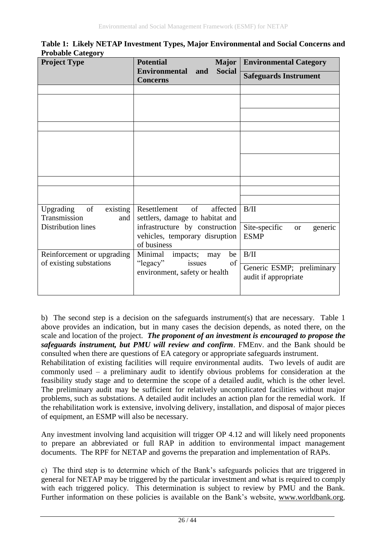| <b>Project Type</b>                                | <b>Potential</b><br><b>Major</b>                                  | <b>Environmental Category</b>                     |
|----------------------------------------------------|-------------------------------------------------------------------|---------------------------------------------------|
|                                                    | <b>Social</b><br><b>Environmental</b><br>and<br><b>Concerns</b>   | <b>Safeguards Instrument</b>                      |
|                                                    |                                                                   |                                                   |
|                                                    |                                                                   |                                                   |
|                                                    |                                                                   |                                                   |
|                                                    |                                                                   |                                                   |
|                                                    |                                                                   |                                                   |
|                                                    |                                                                   |                                                   |
|                                                    |                                                                   |                                                   |
|                                                    |                                                                   |                                                   |
|                                                    |                                                                   |                                                   |
|                                                    |                                                                   |                                                   |
|                                                    |                                                                   |                                                   |
| of<br>Upgrading<br>existing<br>Transmission<br>and | of<br>affected<br>Resettlement<br>settlers, damage to habitat and | B/II                                              |
| <b>Distribution lines</b>                          | infrastructure by construction                                    | Site-specific<br>generic<br>or                    |
|                                                    | vehicles, temporary disruption                                    | <b>ESMP</b>                                       |
|                                                    | of business                                                       |                                                   |
| Reinforcement or upgrading                         | Minimal<br>impacts; may<br>be<br>of                               | B/II                                              |
| of existing substations                            | "legacy"<br>issues<br>environment, safety or health               | Generic ESMP; preliminary<br>audit if appropriate |
|                                                    |                                                                   |                                                   |

<span id="page-25-0"></span>**Table 1: Likely NETAP Investment Types, Major Environmental and Social Concerns and Probable Category**

b) The second step is a decision on the safeguards instrument(s) that are necessary. [Table 1](#page-25-0) [above](#page-25-0) provides an indication, but in many cases the decision depends, as noted there, on the scale and location of the project. *The proponent of an investment is encouraged to propose the safeguards instrument, but PMU will review and confirm*. FMEnv. and the Bank should be consulted when there are questions of EA category or appropriate safeguards instrument.

Rehabilitation of existing facilities will require environmental audits. Two levels of audit are commonly used – a preliminary audit to identify obvious problems for consideration at the feasibility study stage and to determine the scope of a detailed audit, which is the other level. The preliminary audit may be sufficient for relatively uncomplicated facilities without major problems, such as substations. A detailed audit includes an action plan for the remedial work. If the rehabilitation work is extensive, involving delivery, installation, and disposal of major pieces of equipment, an ESMP will also be necessary.

Any investment involving land acquisition will trigger OP 4.12 and will likely need proponents to prepare an abbreviated or full RAP in addition to environmental impact management documents. The RPF for NETAP and governs the preparation and implementation of RAPs.

c) The third step is to determine which of the Bank's safeguards policies that are triggered in general for NETAP may be triggered by the particular investment and what is required to comply with each triggered policy. This determination is subject to review by PMU and the Bank. Further information on these policies is available on the Bank's website, [www.worldbank.org.](http://www.worldbank.org/)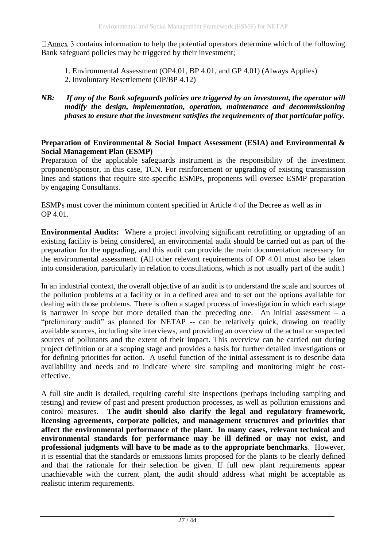$\Box$  Annex 3 contains information to help the potential operators determine which of the following Bank safeguard policies may be triggered by their investment;

1. Environmental Assessment (OP4.01, BP 4.01, and GP 4.01) (Always Applies)

- 2. Involuntary Resettlement (OP/BP 4.12)
- *NB: If any of the Bank safeguards policies are triggered by an investment, the operator will modify the design, implementation, operation, maintenance and decommissioning phases to ensure that the investment satisfies the requirements of that particular policy.*

#### **Preparation of Environmental & Social Impact Assessment (ESIA) and Environmental & Social Management Plan (ESMP)**

Preparation of the applicable safeguards instrument is the responsibility of the investment proponent/sponsor, in this case, TCN. For reinforcement or upgrading of existing transmission lines and stations that require site-specific ESMPs, proponents will oversee ESMP preparation by engaging Consultants.

ESMPs must cover the minimum content specified in Article 4 of the Decree as well as in OP 4.01.

**Environmental Audits:** Where a project involving significant retrofitting or upgrading of an existing facility is being considered, an environmental audit should be carried out as part of the preparation for the upgrading, and this audit can provide the main documentation necessary for the environmental assessment. (All other relevant requirements of OP 4.01 must also be taken into consideration, particularly in relation to consultations, which is not usually part of the audit.)

In an industrial context, the overall objective of an audit is to understand the scale and sources of the pollution problems at a facility or in a defined area and to set out the options available for dealing with those problems. There is often a staged process of investigation in which each stage is narrower in scope but more detailed than the preceding one. An initial assessment – a "preliminary audit" as planned for NETAP -- can be relatively quick, drawing on readily available sources, including site interviews, and providing an overview of the actual or suspected sources of pollutants and the extent of their impact. This overview can be carried out during project definition or at a scoping stage and provides a basis for further detailed investigations or for defining priorities for action. A useful function of the initial assessment is to describe data availability and needs and to indicate where site sampling and monitoring might be costeffective.

A full site audit is detailed, requiring careful site inspections (perhaps including sampling and testing) and review of past and present production processes, as well as pollution emissions and control measures. **The audit should also clarify the legal and regulatory framework, licensing agreements, corporate policies, and management structures and priorities that affect the environmental performance of the plant. In many cases, relevant technical and environmental standards for performance may be ill defined or may not exist, and professional judgments will have to be made as to the appropriate benchmarks**. However, it is essential that the standards or emissions limits proposed for the plants to be clearly defined and that the rationale for their selection be given. If full new plant requirements appear unachievable with the current plant, the audit should address what might be acceptable as realistic interim requirements.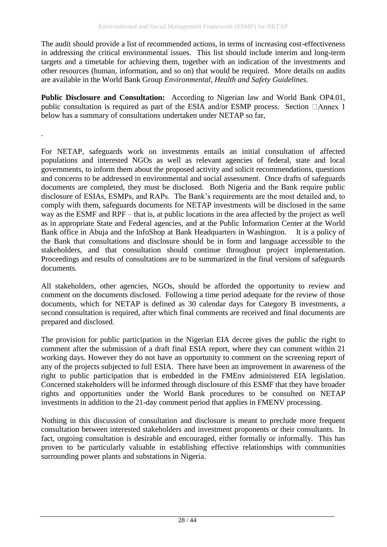The audit should provide a list of recommended actions, in terms of increasing cost-effectiveness in addressing the critical environmental issues. This list should include interim and long-term targets and a timetable for achieving them, together with an indication of the investments and other resources (human, information, and so on) that would be required. More details on audits are available in the World Bank Group *Environmental, Health and Safety Guidelines.*

**Public Disclosure and Consultation:** According to Nigerian law and World Bank OP4.01, publicconsultation is required as part of the ESIA and/or ESMP process. Section  $\Box$ Annex 1 [below](#page-37-0) has a summary of consultations undertaken under NETAP so far,

.

For NETAP, safeguards work on investments entails an initial consultation of affected populations and interested NGOs as well as relevant agencies of federal, state and local governments, to inform them about the proposed activity and solicit recommendations, questions and concerns to be addressed in environmental and social assessment. Once drafts of safeguards documents are completed, they must be disclosed. Both Nigeria and the Bank require public disclosure of ESIAs, ESMPs, and RAPs. The Bank's requirements are the most detailed and, to comply with them, safeguards documents for NETAP investments will be disclosed in the same way as the ESMF and RPF – that is, at public locations in the area affected by the project as well as in appropriate State and Federal agencies, and at the Public Information Center at the World Bank office in Abuja and the InfoShop at Bank Headquarters in Washington. It is a policy of the Bank that consultations and disclosure should be in form and language accessible to the stakeholders, and that consultation should continue throughout project implementation. Proceedings and results of consultations are to be summarized in the final versions of safeguards documents.

All stakeholders, other agencies, NGOs, should be afforded the opportunity to review and comment on the documents disclosed. Following a time period adequate for the review of those documents, which for NETAP is defined as 30 calendar days for Category B investments, a second consultation is required, after which final comments are received and final documents are prepared and disclosed.

The provision for public participation in the Nigerian EIA decree gives the public the right to comment after the submission of a draft final ESIA report, where they can comment within 21 working days. However they do not have an opportunity to comment on the screening report of any of the projects subjected to full ESIA. There have been an improvement in awareness of the right to public participation that is embedded in the FMEnv administered EIA legislation. Concerned stakeholders will be informed through disclosure of this ESMF that they have broader rights and opportunities under the World Bank procedures to be consulted on NETAP investments in addition to the 21-day comment period that applies in FMENV processing.

Nothing in this discussion of consultation and disclosure is meant to preclude more frequent consultation between interested stakeholders and investment proponents or their consultants. In fact, ongoing consultation is desirable and encouraged, either formally or informally. This has proven to be particularly valuable in establishing effective relationships with communities surrounding power plants and substations in Nigeria.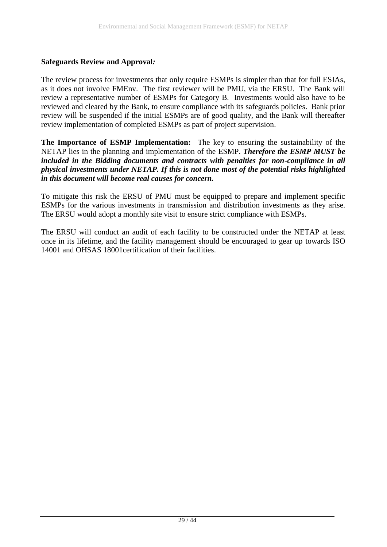#### **Safeguards Review and Approval***:*

The review process for investments that only require ESMPs is simpler than that for full ESIAs, as it does not involve FMEnv. The first reviewer will be PMU, via the ERSU. The Bank will review a representative number of ESMPs for Category B. Investments would also have to be reviewed and cleared by the Bank, to ensure compliance with its safeguards policies. Bank prior review will be suspended if the initial ESMPs are of good quality, and the Bank will thereafter review implementation of completed ESMPs as part of project supervision.

**The Importance of ESMP Implementation:** The key to ensuring the sustainability of the NETAP lies in the planning and implementation of the ESMP. *Therefore the ESMP MUST be included in the Bidding documents and contracts with penalties for non-compliance in all physical investments under NETAP. If this is not done most of the potential risks highlighted in this document will become real causes for concern.* 

To mitigate this risk the ERSU of PMU must be equipped to prepare and implement specific ESMPs for the various investments in transmission and distribution investments as they arise. The ERSU would adopt a monthly site visit to ensure strict compliance with ESMPs.

The ERSU will conduct an audit of each facility to be constructed under the NETAP at least once in its lifetime, and the facility management should be encouraged to gear up towards ISO 14001 and OHSAS 18001certification of their facilities.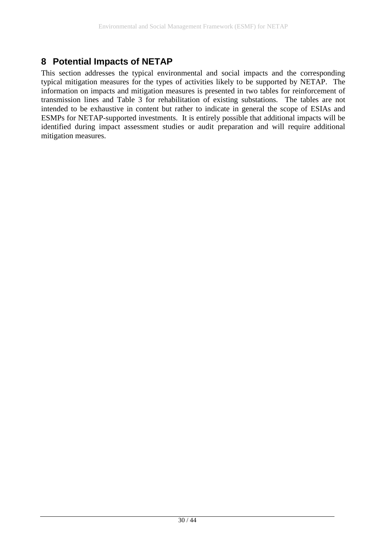### <span id="page-29-0"></span>**8 Potential Impacts of NETAP**

This section addresses the typical environmental and social impacts and the corresponding typical mitigation measures for the types of activities likely to be supported by NETAP. The information on impacts and mitigation measures is presented in two tables for reinforcement of transmission lines and [Table 3](#page-31-0) for rehabilitation of existing substations. The tables are not intended to be exhaustive in content but rather to indicate in general the scope of ESIAs and ESMPs for NETAP-supported investments. It is entirely possible that additional impacts will be identified during impact assessment studies or audit preparation and will require additional mitigation measures.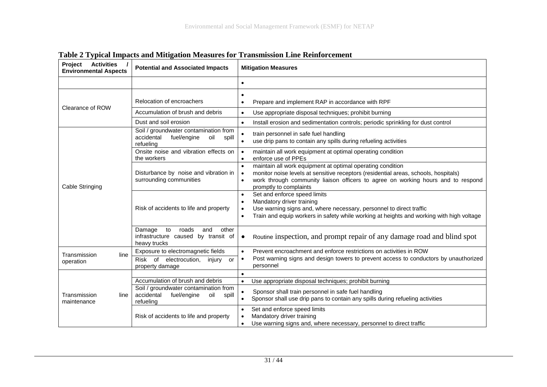| Project<br><b>Activities</b><br><b>Environmental Aspects</b> | <b>Potential and Associated Impacts</b>                                                         | <b>Mitigation Measures</b>                                                                                                                                                                                                                                                                             |
|--------------------------------------------------------------|-------------------------------------------------------------------------------------------------|--------------------------------------------------------------------------------------------------------------------------------------------------------------------------------------------------------------------------------------------------------------------------------------------------------|
|                                                              |                                                                                                 | $\bullet$                                                                                                                                                                                                                                                                                              |
| Clearance of ROW                                             | Relocation of encroachers<br>Accumulation of brush and debris<br>Dust and soil erosion          | $\bullet$<br>Prepare and implement RAP in accordance with RPF<br>$\bullet$<br>Use appropriate disposal techniques; prohibit burning<br>$\bullet$<br>Install erosion and sedimentation controls; periodic sprinkling for dust control<br>$\bullet$                                                      |
|                                                              | Soil / groundwater contamination from<br>accidental<br>fuel/engine<br>oil<br>spill<br>refueling | $\bullet$<br>train personnel in safe fuel handling<br>use drip pans to contain any spills during refueling activities<br>$\bullet$                                                                                                                                                                     |
|                                                              | Onsite noise and vibration effects on<br>the workers                                            | maintain all work equipment at optimal operating condition<br>$\bullet$<br>enforce use of PPEs<br>$\bullet$                                                                                                                                                                                            |
| Cable Stringing                                              | Disturbance by noise and vibration in<br>surrounding communities                                | maintain all work equipment at optimal operating condition<br>$\bullet$<br>monitor noise levels at sensitive receptors (residential areas, schools, hospitals)<br>$\bullet$<br>work through community liaison officers to agree on working hours and to respond<br>$\bullet$<br>promptly to complaints |
|                                                              | Risk of accidents to life and property                                                          | Set and enforce speed limits<br>$\bullet$<br>Mandatory driver training<br>$\bullet$<br>Use warning signs and, where necessary, personnel to direct traffic<br>$\bullet$<br>Train and equip workers in safety while working at heights and working with high voltage<br>$\bullet$                       |
|                                                              | Damage<br>to<br>roads<br>and<br>other<br>infrastructure caused by transit of<br>heavy trucks    | Routine inspection, and prompt repair of any damage road and blind spot<br>$\bullet$                                                                                                                                                                                                                   |
| Transmission<br>line<br>operation                            | Exposure to electromagnetic fields<br>Risk of electrocution, injury<br>or<br>property damage    | Prevent encroachment and enforce restrictions on activities in ROW<br>$\bullet$<br>Post warning signs and design towers to prevent access to conductors by unauthorized<br>$\bullet$<br>personnel                                                                                                      |
|                                                              | Accumulation of brush and debris                                                                | $\bullet$<br>Use appropriate disposal techniques; prohibit burning<br>$\bullet$                                                                                                                                                                                                                        |
| Transmission<br>line<br>maintenance                          | Soil / groundwater contamination from<br>accidental<br>fuel/engine<br>oil<br>spill<br>refueling | Sponsor shall train personnel in safe fuel handling<br>$\bullet$<br>Sponsor shall use drip pans to contain any spills during refueling activities<br>$\bullet$                                                                                                                                         |
|                                                              | Risk of accidents to life and property                                                          | Set and enforce speed limits<br>$\bullet$<br>Mandatory driver training<br>$\bullet$<br>Use warning signs and, where necessary, personnel to direct traffic<br>$\bullet$                                                                                                                                |

### **Table 2 Typical Impacts and Mitigation Measures for Transmission Line Reinforcement**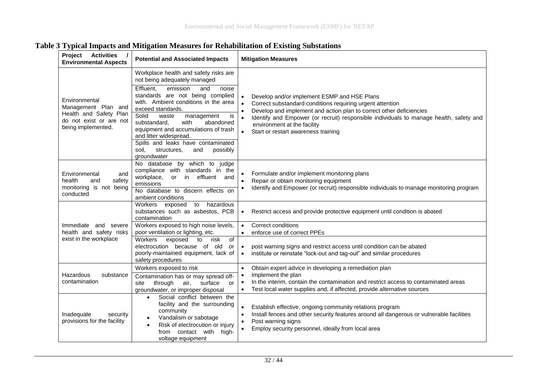<span id="page-31-0"></span>

| Project<br><b>Activities</b><br><b>Environmental Aspects</b>                                                    | <b>Potential and Associated Impacts</b>                                                                                                                                                                                                                                                                                                                                                                                                                      | <b>Mitigation Measures</b>                                                                                                                                                                                                                                                                                                                                                             |
|-----------------------------------------------------------------------------------------------------------------|--------------------------------------------------------------------------------------------------------------------------------------------------------------------------------------------------------------------------------------------------------------------------------------------------------------------------------------------------------------------------------------------------------------------------------------------------------------|----------------------------------------------------------------------------------------------------------------------------------------------------------------------------------------------------------------------------------------------------------------------------------------------------------------------------------------------------------------------------------------|
| Environmental<br>Management Plan and<br>Health and Safety Plan<br>do not exist or are not<br>being implemented. | Workplace health and safety risks are<br>not being adequately managed<br>Effluent,<br>emission<br>and<br>noise<br>standards are not being complied<br>with. Ambient conditions in the area<br>exceed standards.<br>Solid<br>waste<br>management<br>is<br>with<br>substandard,<br>abandoned<br>equipment and accumulations of trash<br>and litter widespread.<br>Spills and leaks have contaminated<br>possibly<br>soil.<br>structures,<br>and<br>groundwater | Develop and/or implement ESMP and HSE Plans<br>$\bullet$<br>$\bullet$<br>Correct substandard conditions requiring urgent attention<br>Develop and implement and action plan to correct other deficiencies<br>Identify and Empower (or recruit) responsible individuals to manage health, safety and<br>$\bullet$<br>environment at the facility<br>Start or restart awareness training |
| Environmental<br>and<br>health<br>and<br>safety<br>monitoring is not being<br>conducted                         | No database by which to judge<br>compliance with standards in the<br>workplace,<br>or in effluent and<br>emissions<br>No database to discern effects on<br>ambient conditions                                                                                                                                                                                                                                                                                | Formulate and/or implement monitoring plans<br>Repair or obtain monitoring equipment<br>$\bullet$<br>Identify and Empower (or recruit) responsible individuals to manage monitoring program                                                                                                                                                                                            |
|                                                                                                                 | to hazardous<br>Workers exposed<br>substances such as asbestos, PCB<br>contamination                                                                                                                                                                                                                                                                                                                                                                         | Restrict access and provide protective equipment until condition is abated<br>$\bullet$                                                                                                                                                                                                                                                                                                |
| Immediate and severe<br>health and safety risks                                                                 | Workers exposed to high noise levels,<br>poor ventilation or lighting, etc.                                                                                                                                                                                                                                                                                                                                                                                  | Correct conditions<br>$\bullet$<br>enforce use of correct PPEs<br>$\bullet$                                                                                                                                                                                                                                                                                                            |
| exist in the workplace                                                                                          | risk<br>of<br>Workers<br>exposed<br>to<br>electrocution because of old<br>or<br>poorly-maintained equipment, lack of<br>safety procedures                                                                                                                                                                                                                                                                                                                    | post warning signs and restrict access until condition can be abated<br>$\bullet$<br>institute or reinstate "lock-out and tag-out" and similar procedures<br>$\bullet$                                                                                                                                                                                                                 |
| Hazardous<br>substance                                                                                          | Workers exposed to risk                                                                                                                                                                                                                                                                                                                                                                                                                                      | Obtain expert advice in developing a remediation plan<br>$\bullet$<br>Implement the plan                                                                                                                                                                                                                                                                                               |
| contamination                                                                                                   | Contamination has or may spread off-<br>through<br>air,<br>surface<br>site<br><b>or</b><br>groundwater, or improper disposal                                                                                                                                                                                                                                                                                                                                 | In the interim, contain the contamination and restrict access to contaminated areas<br>$\bullet$<br>Test local water supplies and, if affected, provide alternative sources<br>$\bullet$                                                                                                                                                                                               |
| Inadequate<br>security<br>provisions for the facility                                                           | Social conflict between the<br>$\bullet$<br>facility and the surrounding<br>community<br>Vandalism or sabotage<br>$\bullet$<br>Risk of electrocution or injury<br>$\bullet$<br>from contact with<br>high-<br>voltage equipment                                                                                                                                                                                                                               | Establish effective, ongoing community relations program<br>Install fences and other security features around all dangerous or vulnerable facilities<br>$\bullet$<br>Post warning signs<br>$\bullet$<br>Employ security personnel, ideally from local area                                                                                                                             |

#### **Table 3 Typical Impacts and Mitigation Measures for Rehabilitation of Existing Substations**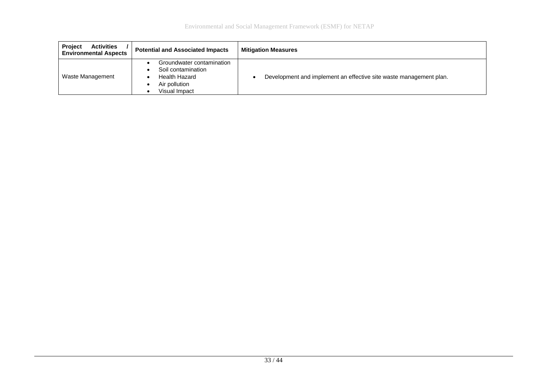| <b>Activities</b><br><b>Project</b><br><b>Environmental Aspects</b> | <b>Potential and Associated Impacts</b>                                                                   | <b>Mitigation Measures</b>                                         |
|---------------------------------------------------------------------|-----------------------------------------------------------------------------------------------------------|--------------------------------------------------------------------|
| Waste Management                                                    | Groundwater contamination<br>Soil contamination<br><b>Health Hazard</b><br>Air pollution<br>Visual Impact | Development and implement an effective site waste management plan. |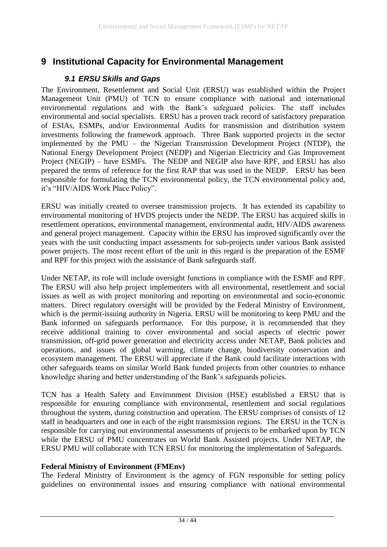### <span id="page-33-1"></span><span id="page-33-0"></span>**9 Institutional Capacity for Environmental Management**

#### *9.1 ERSU Skills and Gaps*

The Environment, Resettlement and Social Unit (ERSU) was established within the Project Management Unit (PMU) of TCN to ensure compliance with national and international environmental regulations and with the Bank's safeguard policies. The staff includes environmental and social specialists. ERSU has a proven track record of satisfactory preparation of ESIAs, ESMPs, and/or Environmental Audits for transmission and distribution system investments following the framework approach. Three Bank supported projects in the sector implemented by the PMU – the Nigerian Transmission Development Project (NTDP), the National Energy Development Project (NEDP) and Nigerian Electricity and Gas Improvement Project (NEGIP) – have ESMFs. The NEDP and NEGIP also have RPF, and ERSU has also prepared the terms of reference for the first RAP that was used in the NEDP. ERSU has been responsible for formulating the TCN environmental policy, the TCN environmental policy and, it's "HIV/AIDS Work Place Policy".

ERSU was initially created to oversee transmission projects. It has extended its capability to environmental monitoring of HVDS projects under the NEDP. The ERSU has acquired skills in resettlement operations, environmental management, environmental audit, HIV/AIDS awareness and general project management. Capacity within the ERSU has improved significantly over the years with the unit conducting impact assessments for sub-projects under various Bank assisted power projects. The most recent effort of the unit in this regard is the preparation of the ESMF and RPF for this project with the assistance of Bank safeguards staff.

Under NETAP, its role will include oversight functions in compliance with the ESMF and RPF. The ERSU will also help project implementers with all environmental, resettlement and social issues as well as with project monitoring and reporting on environmental and socio-economic matters. Direct regulatory oversight will be provided by the Federal Ministry of Environment, which is the permit-issuing authority in Nigeria. ERSU will be monitoring to keep PMU and the Bank informed on safeguards performance. For this purpose, it is recommended that they receive additional training to cover environmental and social aspects of electric power transmission, off-grid power generation and electricity access under NETAP, Bank policies and operations, and issues of global warming, climate change, biodiversity conservation and ecosystem management. The ERSU will appreciate if the Bank could facilitate interactions with other safeguards teams on similar World Bank funded projects from other countries to enhance knowledge sharing and better understanding of the Bank's safeguards policies.

TCN has a Health Safety and Environment Division (HSE) established a ERSU that is responsible for ensuring compliance with environmental, resettlement and social regulations throughout the system, during construction and operation. The ERSU comprises of consists of 12 staff in headquarters and one in each of the eight transmission regions. The ERSU in the TCN is responsible for carrying out environmental assessments of projects to be embarked upon by TCN while the ERSU of PMU concentrates on World Bank Assisted projects. Under NETAP, the ERSU PMU will collaborate with TCN ERSU for monitoring the implementation of Safeguards.

#### **Federal Ministry of Environment (FMEnv)**

The Federal Ministry of Environment is the agency of FGN responsible for setting policy guidelines on environmental issues and ensuring compliance with national environmental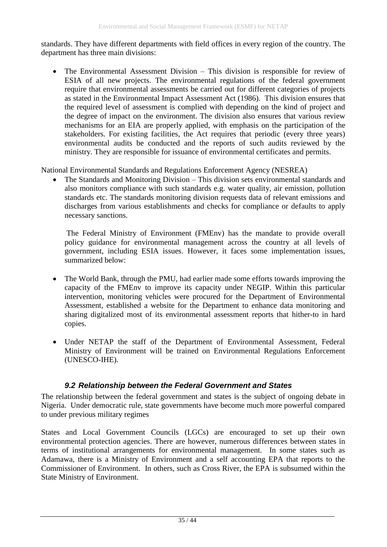standards. They have different departments with field offices in every region of the country. The department has three main divisions:

• The Environmental Assessment Division – This division is responsible for review of ESIA of all new projects. The environmental regulations of the federal government require that environmental assessments be carried out for different categories of projects as stated in the Environmental Impact Assessment Act (1986). This division ensures that the required level of assessment is complied with depending on the kind of project and the degree of impact on the environment. The division also ensures that various review mechanisms for an EIA are properly applied, with emphasis on the participation of the stakeholders. For existing facilities, the Act requires that periodic (every three years) environmental audits be conducted and the reports of such audits reviewed by the ministry. They are responsible for issuance of environmental certificates and permits.

National Environmental Standards and Regulations Enforcement Agency (NESREA)

• The Standards and Monitoring Division – This division sets environmental standards and also monitors compliance with such standards e.g. water quality, air emission, pollution standards etc. The standards monitoring division requests data of relevant emissions and discharges from various establishments and checks for compliance or defaults to apply necessary sanctions.

The Federal Ministry of Environment (FMEnv) has the mandate to provide overall policy guidance for environmental management across the country at all levels of government, including ESIA issues. However, it faces some implementation issues, summarized below:

- The World Bank, through the PMU, had earlier made some efforts towards improving the capacity of the FMEnv to improve its capacity under NEGIP. Within this particular intervention, monitoring vehicles were procured for the Department of Environmental Assessment, established a website for the Department to enhance data monitoring and sharing digitalized most of its environmental assessment reports that hither-to in hard copies.
- Under NETAP the staff of the Department of Environmental Assessment, Federal Ministry of Environment will be trained on Environmental Regulations Enforcement (UNESCO-IHE).

### *9.2 Relationship between the Federal Government and States*

<span id="page-34-0"></span>The relationship between the federal government and states is the subject of ongoing debate in Nigeria. Under democratic rule, state governments have become much more powerful compared to under previous military regimes

States and Local Government Councils (LGCs) are encouraged to set up their own environmental protection agencies. There are however, numerous differences between states in terms of institutional arrangements for environmental management. In some states such as Adamawa, there is a Ministry of Environment and a self accounting EPA that reports to the Commissioner of Environment. In others, such as Cross River, the EPA is subsumed within the State Ministry of Environment.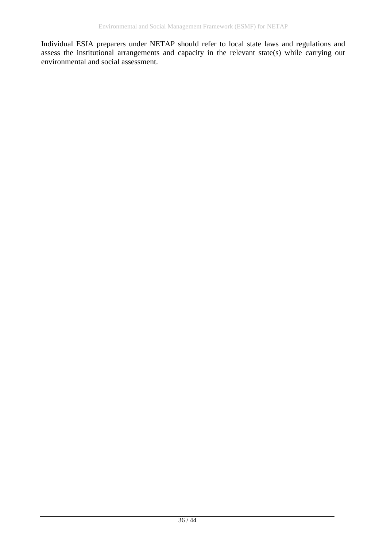Individual ESIA preparers under NETAP should refer to local state laws and regulations and assess the institutional arrangements and capacity in the relevant state(s) while carrying out environmental and social assessment.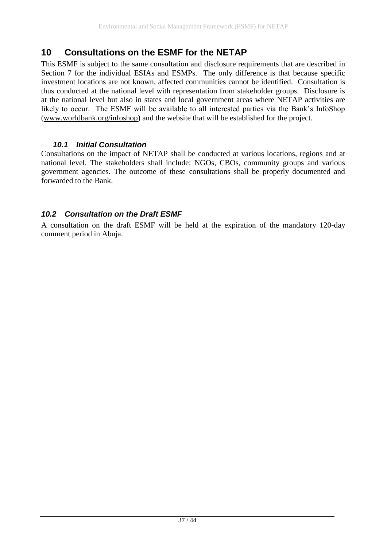### <span id="page-36-0"></span>**10 Consultations on the ESMF for the NETAP**

This ESMF is subject to the same consultation and disclosure requirements that are described in Section 7 for the individual ESIAs and ESMPs. The only difference is that because specific investment locations are not known, affected communities cannot be identified. Consultation is thus conducted at the national level with representation from stakeholder groups. Disclosure is at the national level but also in states and local government areas where NETAP activities are likely to occur. The ESMF will be available to all interested parties via the Bank's InfoShop [\(www.worldbank.org/infoshop\)](http://www.worldbank.org/infoshop) and the website that will be established for the project.

### *10.1 Initial Consultation*

Consultations on the impact of NETAP shall be conducted at various locations, regions and at national level. The stakeholders shall include: NGOs, CBOs, community groups and various government agencies. The outcome of these consultations shall be properly documented and forwarded to the Bank.

### <span id="page-36-1"></span>*10.2 Consultation on the Draft ESMF*

A consultation on the draft ESMF will be held at the expiration of the mandatory 120-day comment period in Abuja.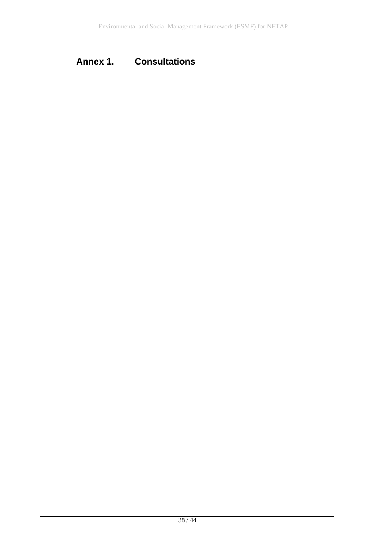## <span id="page-37-0"></span>**Annex 1. Consultations**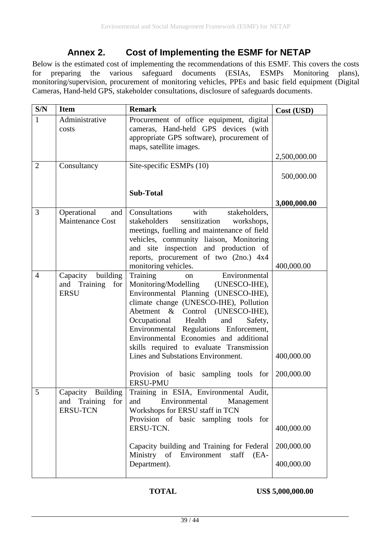### **Annex 2. Cost of Implementing the ESMF for NETAP**

<span id="page-38-0"></span>Below is the estimated cost of implementing the recommendations of this ESMF. This covers the costs for preparing the various safeguard documents (ESIAs, ESMPs Monitoring plans), monitoring/supervision, procurement of monitoring vehicles, PPEs and basic field equipment (Digital Cameras, Hand-held GPS, stakeholder consultations, disclosure of safeguards documents.

| S/N            | <b>Item</b>                                                    | <b>Remark</b>                                                                                                                                                                                                                                                                                                                                                                                                                                                          | Cost (USD)                             |
|----------------|----------------------------------------------------------------|------------------------------------------------------------------------------------------------------------------------------------------------------------------------------------------------------------------------------------------------------------------------------------------------------------------------------------------------------------------------------------------------------------------------------------------------------------------------|----------------------------------------|
| $\mathbf{1}$   | Administrative<br>costs                                        | Procurement of office equipment, digital<br>cameras, Hand-held GPS devices (with<br>appropriate GPS software), procurement of<br>maps, satellite images.                                                                                                                                                                                                                                                                                                               |                                        |
|                |                                                                |                                                                                                                                                                                                                                                                                                                                                                                                                                                                        | 2,500,000.00                           |
| $\overline{2}$ | Consultancy                                                    | Site-specific ESMPs (10)                                                                                                                                                                                                                                                                                                                                                                                                                                               | 500,000.00                             |
|                |                                                                | <b>Sub-Total</b>                                                                                                                                                                                                                                                                                                                                                                                                                                                       | 3,000,000.00                           |
| 3              | Operational<br>and<br><b>Maintenance Cost</b>                  | Consultations<br>with<br>stakeholders,<br>stakeholders<br>sensitization<br>workshops,<br>meetings, fuelling and maintenance of field<br>vehicles, community liaison, Monitoring<br>and site inspection and production of<br>reports, procurement of two (2no.) 4x4<br>monitoring vehicles.                                                                                                                                                                             | 400,000.00                             |
| $\overline{4}$ | building<br>Capacity<br>and Training<br>for<br><b>ERSU</b>     | Environmental<br>Training<br>on<br>Monitoring/Modelling (UNESCO-IHE),<br>Environmental Planning (UNESCO-IHE),<br>climate change (UNESCO-IHE), Pollution<br>Abetment & Control (UNESCO-IHE),<br>Occupational Health<br>and<br>Safety,<br>Environmental Regulations Enforcement,<br>Environmental Economies and additional<br>skills required to evaluate Transmission<br>Lines and Substations Environment.<br>Provision of basic sampling tools for<br><b>ERSU-PMU</b> | 400,000.00<br>200,000.00               |
| 5              | Building<br>Capacity<br>and Training<br>for<br><b>ERSU-TCN</b> | Training in ESIA, Environmental Audit,<br>Environmental<br>Management<br>and<br>Workshops for ERSU staff in TCN<br>Provision of basic sampling tools for<br>ERSU-TCN.<br>Capacity building and Training for Federal<br>Ministry of Environment staff<br>$(EA -$<br>Department).                                                                                                                                                                                        | 400,000.00<br>200,000.00<br>400,000.00 |

**TOTAL** US\$ 5,000,000.00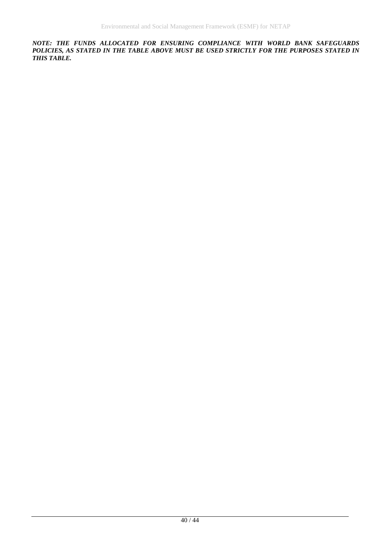*NOTE: THE FUNDS ALLOCATED FOR ENSURING COMPLIANCE WITH WORLD BANK SAFEGUARDS*  POLICIES, AS STATED IN THE TABLE ABOVE MUST BE USED STRICTLY FOR THE PURPOSES STATED IN *THIS TABLE.*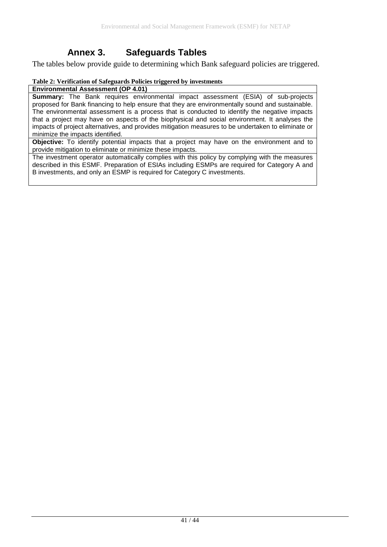### **Annex 3. Safeguards Tables**

<span id="page-40-0"></span>The tables below provide guide to determining which Bank safeguard policies are triggered.

#### **Table 2: Verification of Safeguards Policies triggered by investments**

**Environmental Assessment (OP 4.01)**

**Summary:** The Bank requires environmental impact assessment (ESIA) of sub-projects proposed for Bank financing to help ensure that they are environmentally sound and sustainable. The environmental assessment is a process that is conducted to identify the negative impacts that a project may have on aspects of the biophysical and social environment. It analyses the impacts of project alternatives, and provides mitigation measures to be undertaken to eliminate or minimize the impacts identified.

**Objective:** To identify potential impacts that a project may have on the environment and to provide mitigation to eliminate or minimize these impacts.

The investment operator automatically complies with this policy by complying with the measures described in this ESMF. Preparation of ESIAs including ESMPs are required for Category A and B investments, and only an ESMP is required for Category C investments.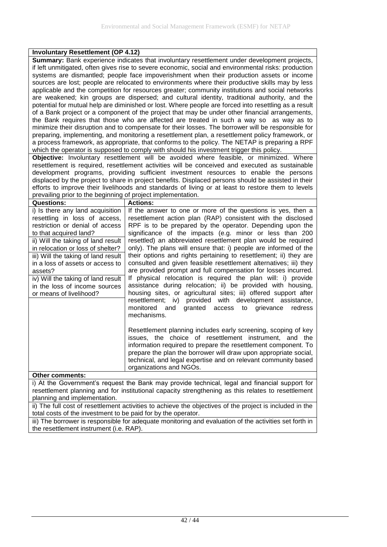#### **Involuntary Resettlement (OP 4.12)**

**Summary:** Bank experience indicates that involuntary resettlement under development projects, if left unmitigated, often gives rise to severe economic, social and environmental risks: production systems are dismantled; people face impoverishment when their production assets or income sources are lost; people are relocated to environments where their productive skills may by less applicable and the competition for resources greater; community institutions and social networks are weakened; kin groups are dispersed; and cultural identity, traditional authority, and the potential for mutual help are diminished or lost. Where people are forced into resettling as a result of a Bank project or a component of the project that may be under other financial arrangements, the Bank requires that those who are affected are treated in such a way so as way as to minimize their disruption and to compensate for their losses. The borrower will be responsible for preparing, implementing, and monitoring a resettlement plan, a resettlement policy framework, or a process framework, as appropriate, that conforms to the policy. The NETAP is preparing a RPF which the operator is supposed to comply with should his investment trigger this policy.

**Objective:** Involuntary resettlement will be avoided where feasible, or minimized. Where resettlement is required, resettlement activities will be conceived and executed as sustainable development programs, providing sufficient investment resources to enable the persons displaced by the project to share in project benefits. Displaced persons should be assisted in their efforts to improve their livelihoods and standards of living or at least to restore them to levels prevailing prior to the beginning of project implementation.

| <b>Questions:</b>                                                                                                                                                                                                                                                                                                                                                                                 | <b>Actions:</b>                                                                                                                                                                                                                                                                                                                                                                                                                                                                                                                                                                                                                                                                                                                                                                                                                                                                                                                                |
|---------------------------------------------------------------------------------------------------------------------------------------------------------------------------------------------------------------------------------------------------------------------------------------------------------------------------------------------------------------------------------------------------|------------------------------------------------------------------------------------------------------------------------------------------------------------------------------------------------------------------------------------------------------------------------------------------------------------------------------------------------------------------------------------------------------------------------------------------------------------------------------------------------------------------------------------------------------------------------------------------------------------------------------------------------------------------------------------------------------------------------------------------------------------------------------------------------------------------------------------------------------------------------------------------------------------------------------------------------|
| i) Is there any land acquisition<br>resettling in loss of access,<br>restriction or denial of access<br>to that acquired land?<br>ii) Will the taking of land result<br>in relocation or loss of shelter?<br>iii) Will the taking of land result<br>in a loss of assets or access to<br>assets?<br>iv) Will the taking of land result<br>in the loss of income sources<br>or means of livelihood? | If the answer to one or more of the questions is yes, then a<br>resettlement action plan (RAP) consistent with the disclosed<br>RPF is to be prepared by the operator. Depending upon the<br>significance of the impacts (e.g. minor or less than 200<br>resettled) an abbreviated resettlement plan would be required<br>only). The plans will ensure that: i) people are informed of the<br>their options and rights pertaining to resettlement; ii) they are<br>consulted and given feasible resettlement alternatives; iii) they<br>are provided prompt and full compensation for losses incurred.<br>If physical relocation is required the plan will: i) provide<br>assistance during relocation; ii) be provided with housing,<br>housing sites, or agricultural sites; iii) offered support after<br>resettlement; iv) provided with development assistance,<br>monitored and granted access<br>to grievance<br>redress<br>mechanisms. |
|                                                                                                                                                                                                                                                                                                                                                                                                   | Resettlement planning includes early screening, scoping of key<br>issues, the choice of resettlement instrument, and the<br>information required to prepare the resettlement component. To<br>prepare the plan the borrower will draw upon appropriate social,<br>technical, and legal expertise and on relevant community based<br>organizations and NGOs.                                                                                                                                                                                                                                                                                                                                                                                                                                                                                                                                                                                    |
| <b>Other comments:</b>                                                                                                                                                                                                                                                                                                                                                                            |                                                                                                                                                                                                                                                                                                                                                                                                                                                                                                                                                                                                                                                                                                                                                                                                                                                                                                                                                |
| i) At the Government's request the Bank may provide technical, legal and financial support for<br>resettlement planning and for institutional capacity strengthening as this relates to resettlement                                                                                                                                                                                              |                                                                                                                                                                                                                                                                                                                                                                                                                                                                                                                                                                                                                                                                                                                                                                                                                                                                                                                                                |

planning and implementation. ii) The full cost of resettlement activities to achieve the objectives of the project is included in the

total costs of the investment to be paid for by the operator. iii) The borrower is responsible for adequate monitoring and evaluation of the activities set forth in

the resettlement instrument (i.e. RAP).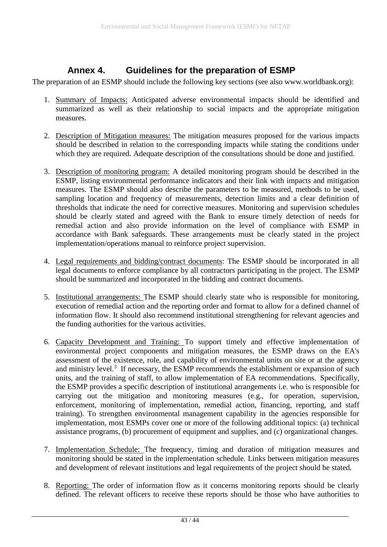### **Annex 4. Guidelines for the preparation of ESMP**

<span id="page-42-0"></span>The preparation of an ESMP should include the following key sections (see also www.worldbank.org):

- 1. Summary of Impacts: Anticipated adverse environmental impacts should be identified and summarized as well as their relationship to social impacts and the appropriate mitigation measures.
- 2. Description of Mitigation measures: The mitigation measures proposed for the various impacts should be described in relation to the corresponding impacts while stating the conditions under which they are required. Adequate description of the consultations should be done and justified.
- 3. Description of monitoring program: A detailed monitoring program should be described in the ESMP, listing environmental performance indicators and their link with impacts and mitigation measures. The ESMP should also describe the parameters to be measured, methods to be used, sampling location and frequency of measurements, detection limits and a clear definition of thresholds that indicate the need for corrective measures. Monitoring and supervision schedules should be clearly stated and agreed with the Bank to ensure timely detection of needs for remedial action and also provide information on the level of compliance with ESMP in accordance with Bank safeguards. These arrangements must be clearly stated in the project implementation/operations manual to reinforce project supervision.
- 4. Legal requirements and bidding/contract documents: The ESMP should be incorporated in all legal documents to enforce compliance by all contractors participating in the project. The ESMP should be summarized and incorporated in the bidding and contract documents.
- 5. Institutional arrangements: The ESMP should clearly state who is responsible for monitoring, execution of remedial action and the reporting order and format to allow for a defined channel of information flow. It should also recommend institutional strengthening for relevant agencies and the funding authorities for the various activities.
- 6. Capacity Development and Training: To support timely and effective implementation of environmental project components and mitigation measures, the ESMP draws on the EA's assessment of the existence, role, and capability of environmental units on site or at the agency and ministry level. $3$  If necessary, the ESMP recommends the establishment or expansion of such units, and the training of staff, to allow implementation of EA recommendations. Specifically, the ESMP provides a specific description of institutional arrangements i.e. who is responsible for carrying out the mitigation and monitoring measures (e.g., for operation, supervision, enforcement, monitoring of implementation, remedial action, financing, reporting, and staff training). To strengthen environmental management capability in the agencies responsible for implementation, most ESMPs cover one or more of the following additional topics: (a) technical assistance programs, (b) procurement of equipment and supplies, and (c) organizational changes.
- 7. Implementation Schedule: The frequency, timing and duration of mitigation measures and monitoring should be stated in the implementation schedule. Links between mitigation measures and development of relevant institutions and legal requirements of the project should be stated.
- 8. Reporting: The order of information flow as it concerns monitoring reports should be clearly defined. The relevant officers to receive these reports should be those who have authorities to